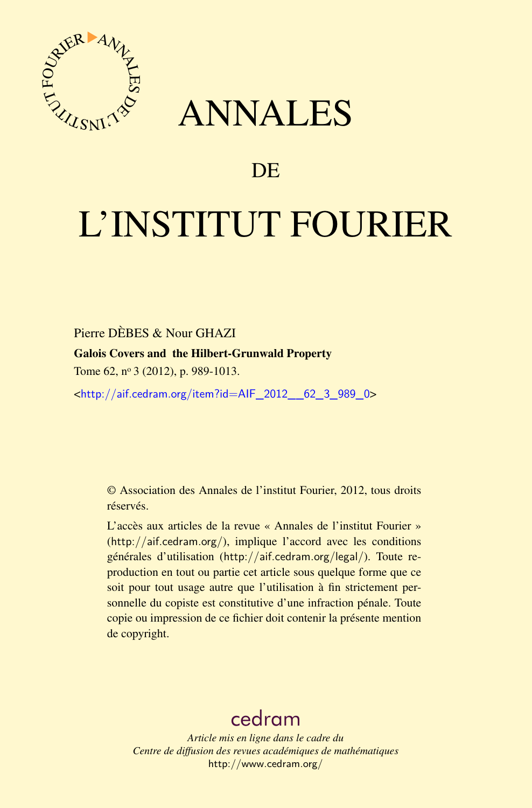

## ANNALES

## **DE**

# L'INSTITUT FOURIER

Pierre DÈBES & Nour GHAZI Galois Covers and the Hilbert-Grunwald Property Tome 62, nº 3 (2012), p. 989-1013.

<[http://aif.cedram.org/item?id=AIF\\_2012\\_\\_62\\_3\\_989\\_0](http://aif.cedram.org/item?id=AIF_2012__62_3_989_0)>

© Association des Annales de l'institut Fourier, 2012, tous droits réservés.

L'accès aux articles de la revue « Annales de l'institut Fourier » (<http://aif.cedram.org/>), implique l'accord avec les conditions générales d'utilisation (<http://aif.cedram.org/legal/>). Toute reproduction en tout ou partie cet article sous quelque forme que ce soit pour tout usage autre que l'utilisation à fin strictement personnelle du copiste est constitutive d'une infraction pénale. Toute copie ou impression de ce fichier doit contenir la présente mention de copyright.

## [cedram](http://www.cedram.org/)

*Article mis en ligne dans le cadre du Centre de diffusion des revues académiques de mathématiques* <http://www.cedram.org/>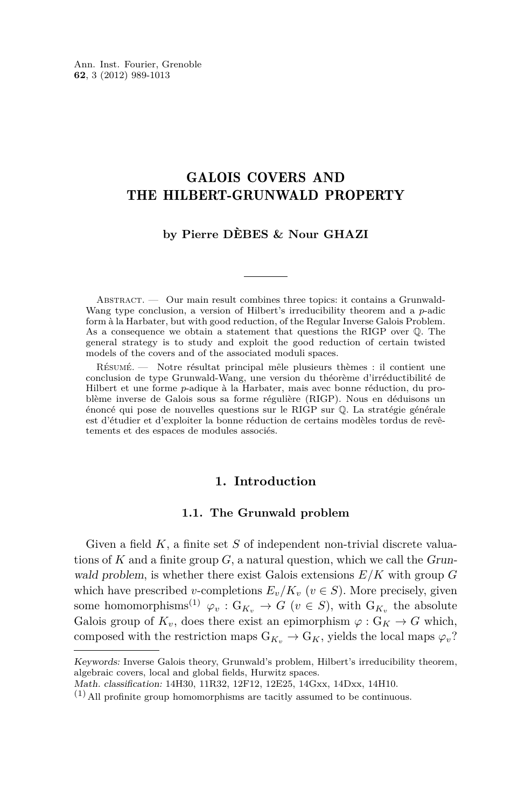### GALOIS COVERS AND THE HILBERT-GRUNWALD PROPERTY

#### **by Pierre DÈBES & Nour GHAZI**

ABSTRACT. — Our main result combines three topics: it contains a Grunwald-Wang type conclusion, a version of Hilbert's irreducibility theorem and a *p*-adic form à la Harbater, but with good reduction, of the Regular Inverse Galois Problem. As a consequence we obtain a statement that questions the RIGP over Q. The general strategy is to study and exploit the good reduction of certain twisted models of the covers and of the associated moduli spaces.

Résumé. — Notre résultat principal mêle plusieurs thèmes : il contient une conclusion de type Grunwald-Wang, une version du théorème d'irréductibilité de Hilbert et une forme *p*-adique à la Harbater, mais avec bonne réduction, du problème inverse de Galois sous sa forme régulière (RIGP). Nous en déduisons un énoncé qui pose de nouvelles questions sur le RIGP sur Q. La stratégie générale est d'étudier et d'exploiter la bonne réduction de certains modèles tordus de revêtements et des espaces de modules associés.

#### **1. Introduction**

#### **1.1. The Grunwald problem**

Given a field *K*, a finite set *S* of independent non-trivial discrete valuations of  $K$  and a finite group  $G$ , a natural question, which we call the  $Grun$ wald problem, is whether there exist Galois extensions *E/K* with group *G* which have prescribed *v*-completions  $E_v/K_v$  ( $v \in S$ ). More precisely, given some homomorphisms<sup>(1)</sup>  $\varphi_v$ :  $G_{K_v} \to G$  ( $v \in S$ ), with  $G_{K_v}$  the absolute Galois group of  $K_v$ , does there exist an epimorphism  $\varphi : G_K \to G$  which, composed with the restriction maps  $G_{K_v} \to G_K$ , yields the local maps  $\varphi_v$ ?

Keywords: Inverse Galois theory, Grunwald's problem, Hilbert's irreducibility theorem, algebraic covers, local and global fields, Hurwitz spaces.

Math. classification: 14H30, 11R32, 12F12, 12E25, 14Gxx, 14Dxx, 14H10.

 $(1)$  All profinite group homomorphisms are tacitly assumed to be continuous.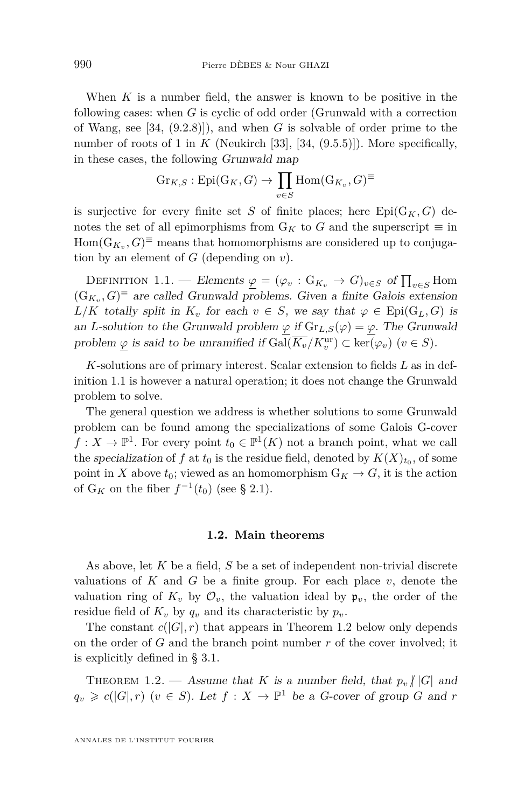<span id="page-2-0"></span>When *K* is a number field, the answer is known to be positive in the following cases: when *G* is cyclic of odd order (Grunwald with a correction of Wang, see [\[34,](#page-25-0) (9.2.8)]), and when *G* is solvable of order prime to the number of roots of 1 in  $K$  (Neukirch [\[33\]](#page-25-0), [\[34,](#page-25-0)  $(9.5.5)$ ]). More specifically, in these cases, the following Grunwald map

$$
\mathrm{Gr}_{K,S} : \mathrm{Epi}(G_K, G) \to \prod_{v \in S} \mathrm{Hom}(\mathrm{G}_{K_v}, G)^{\equiv}
$$

is surjective for every finite set *S* of finite places; here  $\text{Epi}(G_K, G)$  denotes the set of all epimorphisms from  $G_K$  to *G* and the superscript  $\equiv$  in  $Hom(G_{K_v}, G)$ <sup> $\equiv$ </sup> means that homomorphisms are considered up to conjugation by an element of *G* (depending on *v*).

DEFINITION 1.1. — Elements  $\underline{\varphi} = (\varphi_v : G_{K_v} \to G)_{v \in S}$  of  $\prod_{v \in S}$  Hom  $(G_{K_v}, G)^{\equiv}$  are called Grunwald problems. Given a finite Galois extension *L/K* totally split in  $K_v$  for each  $v \in S$ , we say that  $\varphi \in \text{Epi}(G_L, G)$  is an *L*-solution to the Grunwald problem  $\varphi$  if  $\text{Gr}_{L,S}(\varphi) = \varphi$ . The Grunwald problem  $\varphi$  is said to be unramified if  $Gal(\overline{K_v}/K_v^{\text{ur}}) \subset \text{ker}(\varphi_v)$  ( $v \in S$ ).

*K*-solutions are of primary interest. Scalar extension to fields *L* as in definition 1.1 is however a natural operation; it does not change the Grunwald problem to solve.

The general question we address is whether solutions to some Grunwald problem can be found among the specializations of some Galois G-cover  $f: X \to \mathbb{P}^1$ . For every point  $t_0 \in \mathbb{P}^1(K)$  not a branch point, what we call the specialization of  $f$  at  $t_0$  is the residue field, denoted by  $K(X)_{t_0}$ , of some point in *X* above  $t_0$ ; viewed as an homomorphism  $G_K \to G$ , it is the action of  $G_K$  on the fiber  $f^{-1}(t_0)$  (see § [2.1\)](#page-9-0).

#### **1.2. Main theorems**

As above, let *K* be a field, *S* be a set of independent non-trivial discrete valuations of  $K$  and  $G$  be a finite group. For each place  $v$ , denote the valuation ring of  $K_v$  by  $\mathcal{O}_v$ , the valuation ideal by  $\mathfrak{p}_v$ , the order of the residue field of  $K_v$  by  $q_v$  and its characteristic by  $p_v$ .

The constant  $c(|G|, r)$  that appears in Theorem 1.2 below only depends on the order of *G* and the branch point number *r* of the cover involved; it is explicitly defined in § [3.1.](#page-16-0)

THEOREM 1.2. — Assume that *K* is a number field, that  $p_v / |G|$  and  $q_v \geq c(|G|, r)$  ( $v \in S$ ). Let  $f: X \to \mathbb{P}^1$  be a G-cover of group *G* and *r*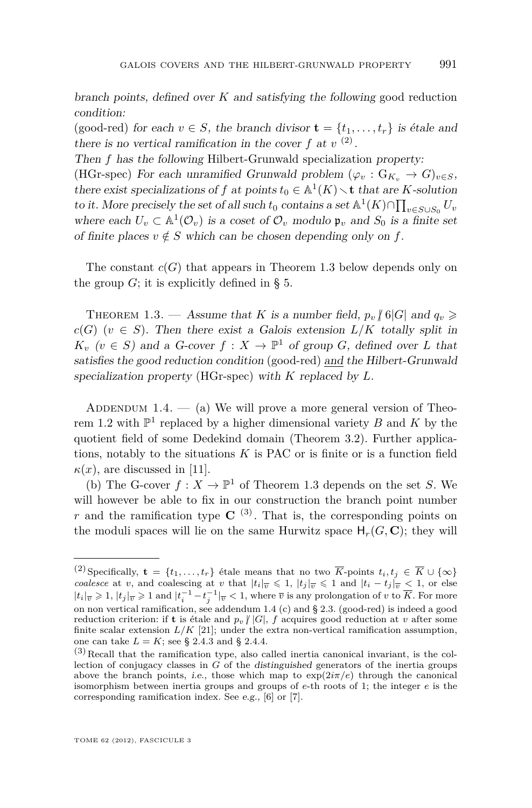<span id="page-3-0"></span>branch points, defined over *K* and satisfying the following good reduction condition:

(good-red) for each  $v \in S$ , the branch divisor  $\mathbf{t} = \{t_1, \ldots, t_r\}$  is étale and there is no vertical ramification in the cover  $f$  at  $v^{(2)}$ .

Then *f* has the following Hilbert-Grunwald specialization property:

(HGr-spec) For each unramified Grunwald problem  $(\varphi_v : G_{K_v} \to G)_{v \in S}$ , there exist specializations of *f* at points  $t_0 \in \mathbb{A}^1(K) \setminus t$  that are *K*-solution to it. More precisely the set of all such  $t_0$  contains a set  $\mathbb{A}^1(K) \cap \prod_{v \in S \cup S_0} U_v$ where each  $U_v \subset \mathbb{A}^1(\mathcal{O}_v)$  is a coset of  $\mathcal{O}_v$  modulo  $\mathfrak{p}_v$  and  $S_0$  is a finite set of finite places  $v \notin S$  which can be chosen depending only on f.

The constant  $c(G)$  that appears in Theorem 1.3 below depends only on the group  $G$ ; it is explicitly defined in § [5.](#page-21-0)

THEOREM 1.3. — Assume that *K* is a number field,  $p_v \nmid 6|G|$  and  $q_v \geq$  $c(G)$  ( $v \in S$ ). Then there exist a Galois extension  $L/K$  totally split in  $K_v$  ( $v \in S$ ) and a *G*-cover  $f: X \to \mathbb{P}^1$  of group *G*, defined over *L* that satisfies the good reduction condition (good-red) and the Hilbert-Grunwald specialization property (HGr-spec) with *K* replaced by *L*.

ADDENDUM 1.4.  $-$  (a) We will prove a more general version of Theo-rem [1.2](#page-2-0) with  $\mathbb{P}^1$  replaced by a higher dimensional variety *B* and *K* by the quotient field of some Dedekind domain (Theorem [3.2\)](#page-18-0). Further applications, notably to the situations *K* is PAC or is finite or is a function field  $\kappa(x)$ , are discussed in [\[11\]](#page-24-0).

(b) The G-cover  $f: X \to \mathbb{P}^1$  of Theorem 1.3 depends on the set *S*. We will however be able to fix in our construction the branch point number *r* and the ramification type  $C^{(3)}$ . That is, the corresponding points on the moduli spaces will lie on the same Hurwitz space  $H_r(G, \mathbf{C})$ ; they will

 $(2)$  Specifically,  $\mathbf{t} = \{t_1, \ldots, t_r\}$  étale means that no two  $\overline{K}$ -points  $t_i, t_j \in \overline{K} \cup \{\infty\}$ *coalesce* at *v*, and coalescing at *v* that  $|t_i|_{\overline{v}} \leq 1$ ,  $|t_j|_{\overline{v}} \leq 1$  and  $|t_i - t_j|_{\overline{v}} < 1$ , or else  $|t_i|_{\overline{v}} \geqslant 1$ ,  $|t_j|_{\overline{v}} \geqslant 1$  and  $|t_i^{-1} - t_j^{-1}|_{\overline{v}} < 1$ , where  $\overline{v}$  is any prolongation of  $v$  to  $\overline{K}$ . For more on non vertical ramification, see addendum 1.4 (c) and § [2.3.](#page-11-0) (good-red) is indeed a good reduction criterion: if **t** is étale and  $p_v / |G|$ , *f* acquires good reduction at *v* after some finite scalar extension  $L/K$  [\[21\]](#page-24-0); under the extra non-vertical ramification assumption, one can take  $L = K$ ; see § [2.4.3](#page-13-0) and § [2.4.4.](#page-13-0)

 $(3)$  Recall that the ramification type, also called inertia canonical invariant, is the collection of conjugacy classes in *G* of the distinguished generators of the inertia groups above the branch points, i.e., those which map to  $\exp(2i\pi/e)$  through the canonical isomorphism between inertia groups and groups of *e*-th roots of 1; the integer *e* is the corresponding ramification index. See e.g., [\[6\]](#page-23-0) or [\[7\]](#page-23-0).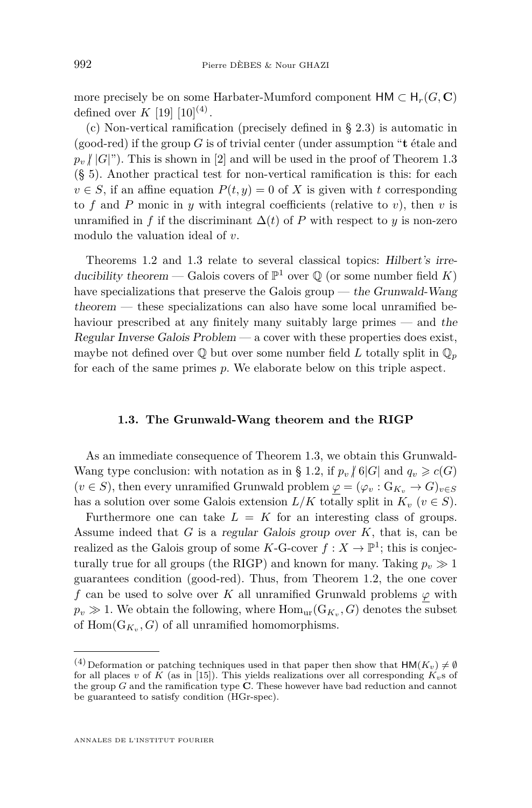more precisely be on some Harbater-Mumford component  $HM \subset H_r(G, \mathbb{C})$ defined over  $K [19] [10]^{(4)}$  $K [19] [10]^{(4)}$  $K [19] [10]^{(4)}$  $K [19] [10]^{(4)}$  $K [19] [10]^{(4)}$ .

(c) Non-vertical ramification (precisely defined in § [2.3\)](#page-11-0) is automatic in (good-red) if the group *G* is of trivial center (under assumption "**t** étale and  $p_v / |G|^v$ . This is shown in [\[2\]](#page-23-0) and will be used in the proof of Theorem [1.3](#page-3-0) (§ [5\)](#page-21-0). Another practical test for non-vertical ramification is this: for each  $v \in S$ , if an affine equation  $P(t, y) = 0$  of *X* is given with *t* corresponding to f and P monic in *y* with integral coefficients (relative to *v*), then *v* is unramified in *f* if the discriminant  $\Delta(t)$  of *P* with respect to *y* is non-zero modulo the valuation ideal of *v*.

Theorems [1.2](#page-2-0) and [1.3](#page-3-0) relate to several classical topics: Hilbert's irreducibility theorem — Galois covers of  $\mathbb{P}^1$  over  $\mathbb Q$  (or some number field K) have specializations that preserve the Galois group — the Grunwald-Wang theorem — these specializations can also have some local unramified behaviour prescribed at any finitely many suitably large primes — and the Regular Inverse Galois Problem — a cover with these properties does exist, maybe not defined over  $\mathbb Q$  but over some number field *L* totally split in  $\mathbb Q_p$ for each of the same primes *p*. We elaborate below on this triple aspect.

#### **1.3. The Grunwald-Wang theorem and the RIGP**

As an immediate consequence of Theorem [1.3,](#page-3-0) we obtain this Grunwald-Wang type conclusion: with notation as in § [1.2,](#page-2-0) if  $p_v / 6|G|$  and  $q_v \geq c(G)$  $(v \in S)$ , then every unramified Grunwald problem  $\varphi = (\varphi_v : G_{K_v} \to G)_{v \in S}$ has a solution over some Galois extension  $L/K$  totally split in  $K_v$  ( $v \in S$ ).

Furthermore one can take  $L = K$  for an interesting class of groups. Assume indeed that *G* is a regular Galois group over *K*, that is, can be realized as the Galois group of some  $K$ -G-cover  $f: X \to \mathbb{P}^1$ ; this is conjecturally true for all groups (the RIGP) and known for many. Taking  $p_v \gg 1$ guarantees condition (good-red). Thus, from Theorem [1.2,](#page-2-0) the one cover *f* can be used to solve over *K* all unramified Grunwald problems  $\varphi$  with  $p_v \gg 1$ . We obtain the following, where  $Hom_{ur}(G_{K_v}, G)$  denotes the subset of  $\text{Hom}(G_{K_v}, G)$  of all unramified homomorphisms.

<sup>&</sup>lt;sup>(4)</sup> Deformation or patching techniques used in that paper then show that  $HM(K_v) \neq \emptyset$ for all places *v* of *K* (as in [\[15\]](#page-24-0)). This yields realizations over all corresponding  $K_v$ s of the group *G* and the ramification type **C**. These however have bad reduction and cannot be guaranteed to satisfy condition (HGr-spec).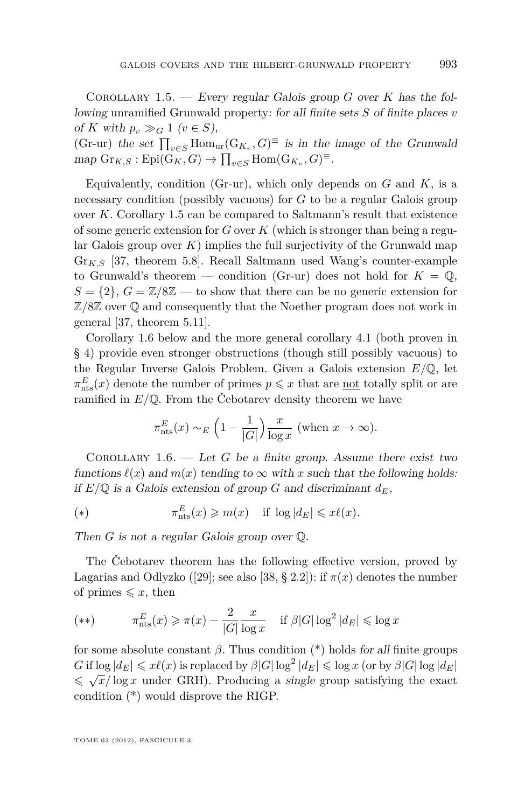<span id="page-5-0"></span>Corollary 1.5. — Every regular Galois group *G* over *K* has the following unramified Grunwald property: for all finite sets *S* of finite places *v* of *K* with  $p_v \gg_G 1$  ( $v \in S$ ),

(Gr-ur) the set  $\prod_{v \in S}$  Hom<sub>ur</sub>(G<sub>*K<sub>v</sub></sub>*, *G*)<sup> $\equiv$ </sup> is in the image of the Grunwald</sub>  $map \text{ Gr}_{K,S}:$   $\text{Epi}(G_K, G) \to \prod_{v \in S} \text{Hom}(G_{K_v}, G)^{\equiv}.$ 

Equivalently, condition (Gr-ur), which only depends on *G* and *K*, is a necessary condition (possibly vacuous) for *G* to be a regular Galois group over *K*. Corollary 1.5 can be compared to Saltmann's result that existence of some generic extension for *G* over *K* (which is stronger than being a regular Galois group over  $K$ ) implies the full surjectivity of the Grunwald map Gr*K,S* [\[37,](#page-25-0) theorem 5.8]. Recall Saltmann used Wang's counter-example to Grunwald's theorem — condition (Gr-ur) does not hold for  $K = \mathbb{Q}$ ,  $S = \{2\}, G = \mathbb{Z}/8\mathbb{Z}$  — to show that there can be no generic extension for Z*/*8Z over Q and consequently that the Noether program does not work in general [\[37,](#page-25-0) theorem 5.11].

Corollary 1.6 below and the more general corollary [4.1](#page-19-0) (both proven in § [4\)](#page-19-0) provide even stronger obstructions (though still possibly vacuous) to the Regular Inverse Galois Problem. Given a Galois extension *E/*Q, let  $\pi_{\text{nts}}^E(x)$  denote the number of primes  $p \leq x$  that are <u>not</u> totally split or are ramified in  $E/\mathbb{Q}$ . From the Čebotarev density theorem we have

$$
\pi_{\text{nts}}^E(x) \sim_E \left(1 - \frac{1}{|G|}\right) \frac{x}{\log x} \text{ (when } x \to \infty\text{)}.
$$

COROLLARY  $1.6.$  — Let *G* be a finite group. Assume there exist two functions  $\ell(x)$  and  $m(x)$  tending to  $\infty$  with x such that the following holds: if  $E/\mathbb{Q}$  is a Galois extension of group *G* and discriminant  $d_E$ ,

(\*) 
$$
\pi_{\text{nts}}^E(x) \geqslant m(x) \quad \text{if } \log |d_E| \leqslant x\ell(x).
$$

Then *G* is not a regular Galois group over Q.

The Čebotarev theorem has the following effective version, proved by Lagarias and Odlyzko ([\[29\]](#page-24-0); see also [\[38,](#page-25-0) § 2.2]): if  $\pi(x)$  denotes the number of primes  $\leqslant x$ , then

$$
(**) \qquad \pi_{\rm nts}^E(x) \ge \pi(x) - \frac{2}{|G|} \frac{x}{\log x} \quad \text{if } \beta |G| \log^2 |d_E| \le \log x
$$

for some absolute constant  $\beta$ . Thus condition  $(*)$  holds for all finite groups  $G$  if  $\log |d_E| \leqslant x\ell(x)$  is replaced by  $\beta |G| \log^2 |d_E| \leqslant \log x$  (or by  $\beta |G| \log |d_E|$  $\leq \sqrt{x}/\log x$  under GRH). Producing a single group satisfying the exact  $\leq \sqrt{x}/\log x$  under GRH). Producing a single group satisfying the exact condition (\*) would disprove the RIGP.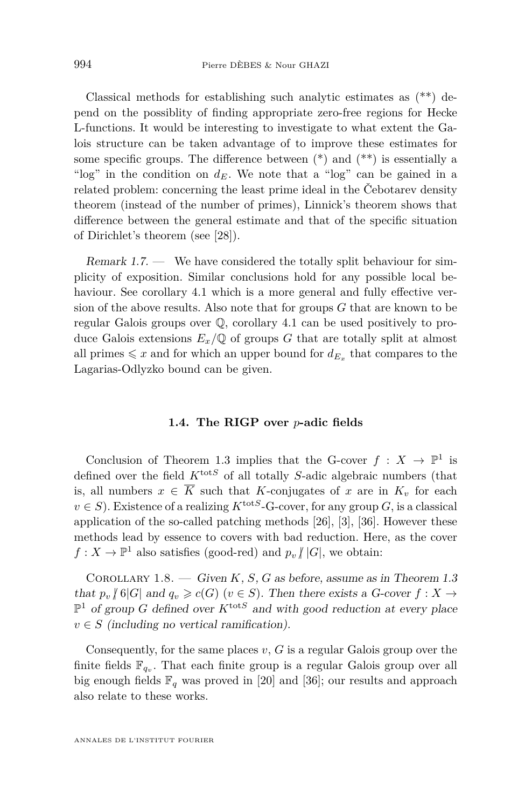Classical methods for establishing such analytic estimates as (\*\*) depend on the possiblity of finding appropriate zero-free regions for Hecke L-functions. It would be interesting to investigate to what extent the Galois structure can be taken advantage of to improve these estimates for some specific groups. The difference between  $(*)$  and  $(**)$  is essentially a "log" in the condition on  $d_E$ . We note that a "log" can be gained in a related problem: concerning the least prime ideal in the Čebotarev density theorem (instead of the number of primes), Linnick's theorem shows that difference between the general estimate and that of the specific situation of Dirichlet's theorem (see [\[28\]](#page-24-0)).

Remark 1.7. — We have considered the totally split behaviour for simplicity of exposition. Similar conclusions hold for any possible local be-haviour. See corollary [4.1](#page-19-0) which is a more general and fully effective version of the above results. Also note that for groups *G* that are known to be regular Galois groups over Q, corollary [4.1](#page-19-0) can be used positively to produce Galois extensions  $E_x/\mathbb{Q}$  of groups G that are totally split at almost all primes  $\leq x$  and for which an upper bound for  $d_{E_x}$  that compares to the Lagarias-Odlyzko bound can be given.

#### **1.4. The RIGP over** *p***-adic fields**

Conclusion of Theorem [1.3](#page-3-0) implies that the G-cover  $f: X \to \mathbb{P}^1$  is defined over the field *K*tot*<sup>S</sup>* of all totally *S*-adic algebraic numbers (that is, all numbers  $x \in \overline{K}$  such that *K*-conjugates of *x* are in  $K_v$  for each  $v \in S$ ). Existence of a realizing  $K^{\text{tot}S}$ -G-cover, for any group *G*, is a classical application of the so-called patching methods [\[26\]](#page-24-0), [\[3\]](#page-23-0), [\[36\]](#page-25-0). However these methods lead by essence to covers with bad reduction. Here, as the cover  $f: X \to \mathbb{P}^1$  also satisfies (good-red) and  $p_v \nmid |G|$ , we obtain:

COROLLARY 1.8. — Given  $K, S, G$  as before, assume as in Theorem [1.3](#page-3-0) that  $p_v \nmid 6|G|$  and  $q_v \geq c(G)$  ( $v \in S$ ). Then there exists a G-cover  $f: X \to Y$  $\mathbb{P}^1$  of group *G* defined over  $K^{\text{tot}S}$  and with good reduction at every place  $v \in S$  (including no vertical ramification).

Consequently, for the same places *v*, *G* is a regular Galois group over the finite fields  $\mathbb{F}_{q_v}$ . That each finite group is a regular Galois group over all big enough fields  $\mathbb{F}_q$  was proved in [\[20\]](#page-24-0) and [\[36\]](#page-25-0); our results and approach also relate to these works.

ANNALES DE L'INSTITUT FOURIER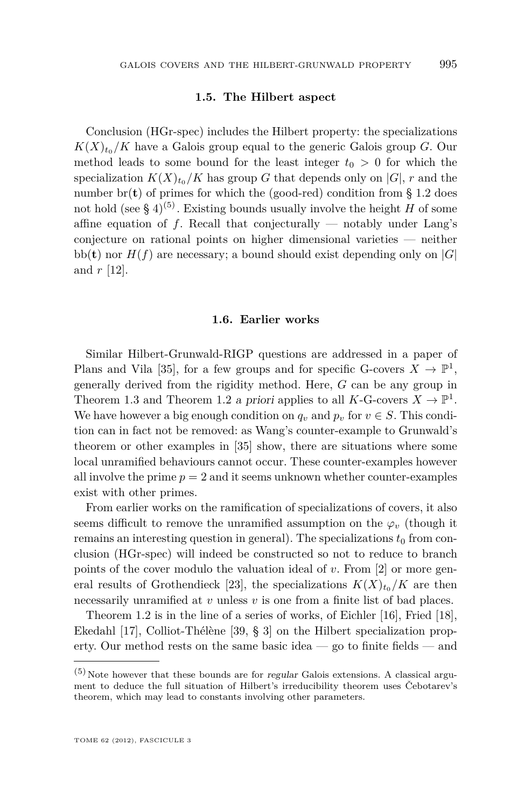#### **1.5. The Hilbert aspect**

Conclusion (HGr-spec) includes the Hilbert property: the specializations  $K(X)_{t_0}/K$  have a Galois group equal to the generic Galois group *G*. Our method leads to some bound for the least integer  $t_0 > 0$  for which the specialization  $K(X)_{t_0}/K$  has group *G* that depends only on  $|G|$ , *r* and the number  $\text{br}(\mathbf{t})$  of primes for which the (good-red) condition from § [1.2](#page-2-0) does not hold (see § [4\)](#page-19-0)<sup>(5)</sup>. Existing bounds usually involve the height *H* of some affine equation of  $f$ . Recall that conjecturally — notably under Lang's conjecture on rational points on higher dimensional varieties — neither bb(**) nor**  $H(f)$  **are necessary; a bound should exist depending only on**  $|G|$ and *r* [\[12\]](#page-24-0).

#### **1.6. Earlier works**

Similar Hilbert-Grunwald-RIGP questions are addressed in a paper of Plans and Vila [\[35\]](#page-25-0), for a few groups and for specific G-covers  $X \to \mathbb{P}^1$ , generally derived from the rigidity method. Here, *G* can be any group in Theorem [1.3](#page-3-0) and Theorem [1.2](#page-2-0) a priori applies to all  $K$ -G-covers  $X \to \mathbb{P}^1$ . We have however a big enough condition on  $q_v$  and  $p_v$  for  $v \in S$ . This condition can in fact not be removed: as Wang's counter-example to Grunwald's theorem or other examples in [\[35\]](#page-25-0) show, there are situations where some local unramified behaviours cannot occur. These counter-examples however all involve the prime  $p = 2$  and it seems unknown whether counter-examples exist with other primes.

From earlier works on the ramification of specializations of covers, it also seems difficult to remove the unramified assumption on the  $\varphi$ <sup>*v*</sup> (though it remains an interesting question in general). The specializations  $t_0$  from conclusion (HGr-spec) will indeed be constructed so not to reduce to branch points of the cover modulo the valuation ideal of *v*. From [\[2\]](#page-23-0) or more gen-eral results of Grothendieck [\[23\]](#page-24-0), the specializations  $K(X)_{t_0}/K$  are then necessarily unramified at *v* unless *v* is one from a finite list of bad places.

Theorem [1.2](#page-2-0) is in the line of a series of works, of Eichler [\[16\]](#page-24-0), Fried [\[18\]](#page-24-0), Ekedahl [\[17\]](#page-24-0), Colliot-Thélène [\[39,](#page-25-0) § 3] on the Hilbert specialization property. Our method rests on the same basic idea — go to finite fields — and

 $(5)$ Note however that these bounds are for regular Galois extensions. A classical argument to deduce the full situation of Hilbert's irreducibility theorem uses Čebotarev's theorem, which may lead to constants involving other parameters.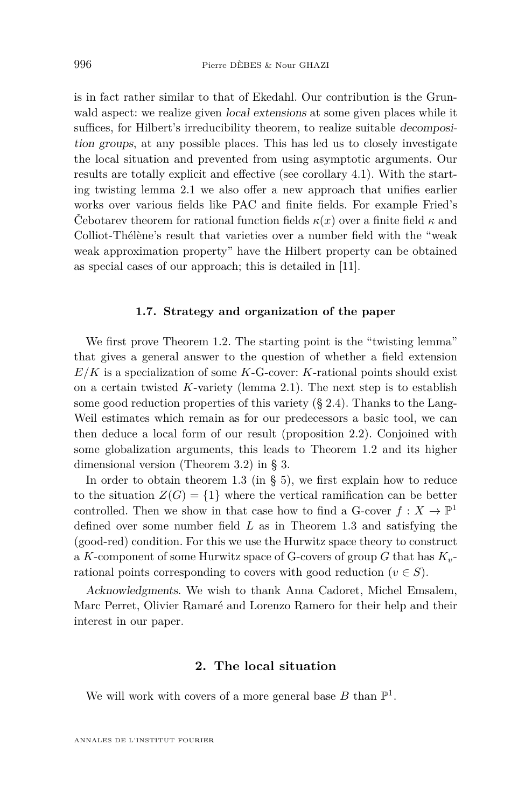is in fact rather similar to that of Ekedahl. Our contribution is the Grunwald aspect: we realize given local extensions at some given places while it suffices, for Hilbert's irreducibility theorem, to realize suitable decomposition groups, at any possible places. This has led us to closely investigate the local situation and prevented from using asymptotic arguments. Our results are totally explicit and effective (see corollary [4.1\)](#page-19-0). With the starting twisting lemma [2.1](#page-10-0) we also offer a new approach that unifies earlier works over various fields like PAC and finite fields. For example Fried's Čebotarev theorem for rational function fields *κ*(*x*) over a finite field *κ* and Colliot-Thélène's result that varieties over a number field with the "weak weak approximation property" have the Hilbert property can be obtained as special cases of our approach; this is detailed in [\[11\]](#page-24-0).

#### **1.7. Strategy and organization of the paper**

We first prove Theorem [1.2.](#page-2-0) The starting point is the "twisting lemma" that gives a general answer to the question of whether a field extension *E/K* is a specialization of some *K*-G-cover: *K*-rational points should exist on a certain twisted *K*-variety (lemma [2.1\)](#page-10-0). The next step is to establish some good reduction properties of this variety (§ [2.4\)](#page-12-0). Thanks to the Lang-Weil estimates which remain as for our predecessors a basic tool, we can then deduce a local form of our result (proposition [2.2\)](#page-11-0). Conjoined with some globalization arguments, this leads to Theorem [1.2](#page-2-0) and its higher dimensional version (Theorem [3.2\)](#page-18-0) in § [3.](#page-16-0)

In order to obtain theorem [1.3](#page-3-0) (in § [5\)](#page-21-0), we first explain how to reduce to the situation  $Z(G) = \{1\}$  where the vertical ramification can be better controlled. Then we show in that case how to find a G-cover  $f: X \to \mathbb{P}^1$ defined over some number field *L* as in Theorem [1.3](#page-3-0) and satisfying the (good-red) condition. For this we use the Hurwitz space theory to construct a *K*-component of some Hurwitz space of G-covers of group *G* that has *Kv*rational points corresponding to covers with good reduction ( $v \in S$ ).

Acknowledgments. We wish to thank Anna Cadoret, Michel Emsalem, Marc Perret, Olivier Ramaré and Lorenzo Ramero for their help and their interest in our paper.

#### **2. The local situation**

We will work with covers of a more general base  $B$  than  $\mathbb{P}^1$ .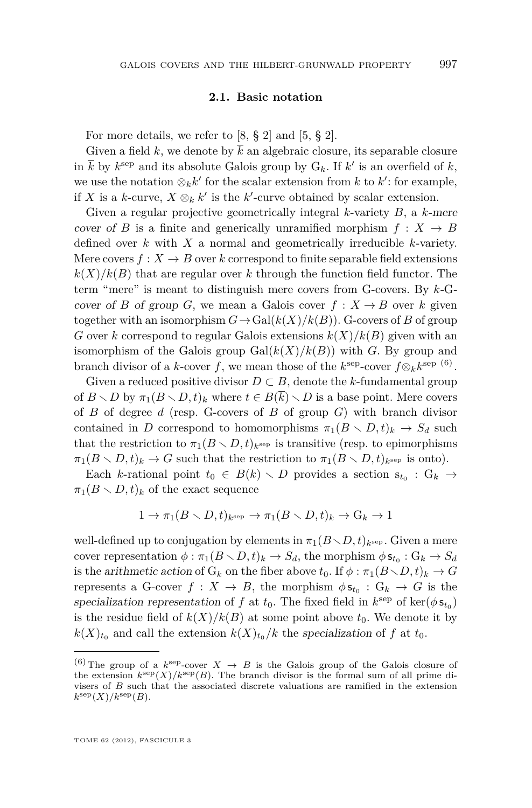#### **2.1. Basic notation**

<span id="page-9-0"></span>For more details, we refer to [\[8,](#page-23-0) § 2] and [\[5,](#page-23-0) § 2].

Given a field k, we denote by  $\overline{k}$  an algebraic closure, its separable closure in  $\overline{k}$  by  $k^{\text{sep}}$  and its absolute Galois group by  $G_k$ . If  $k'$  is an overfield of  $k$ , we use the notation  $\otimes_k k'$  for the scalar extension from  $k$  to  $k'$ : for example, if *X* is a *k*-curve,  $X \otimes_k k'$  is the *k*'-curve obtained by scalar extension.

Given a regular projective geometrically integral *k*-variety *B*, a *k*-mere cover of *B* is a finite and generically unramified morphism  $f: X \rightarrow B$ defined over *k* with *X* a normal and geometrically irreducible *k*-variety. Mere covers  $f: X \to B$  over  $k$  correspond to finite separable field extensions  $k(X)/k(B)$  that are regular over *k* through the function field functor. The term "mere" is meant to distinguish mere covers from G-covers. By *k*-Gcover of *B* of group *G*, we mean a Galois cover  $f: X \to B$  over *k* given together with an isomorphism  $G \to Gal(k(X)/k(B))$ . G-covers of *B* of group *G* over *k* correspond to regular Galois extensions  $k(X)/k(B)$  given with an isomorphism of the Galois group  $Gal(k(X)/k(B))$  with *G*. By group and branch divisor of a *k*-cover *f*, we mean those of the  $k^{\text{sep}}$ -cover  $f \otimes_k k^{\text{sep}}$  <sup>(6)</sup>.

Given a reduced positive divisor  $D \subset B$ , denote the *k*-fundamental group of  $B \setminus D$  by  $\pi_1(B \setminus D, t)_k$  where  $t \in B(\overline{k}) \setminus D$  is a base point. Mere covers of *B* of degree *d* (resp. G-covers of *B* of group *G*) with branch divisor contained in *D* correspond to homomorphisms  $\pi_1(B \setminus D, t)_k \to S_d$  such that the restriction to  $\pi_1(B \setminus D, t)_{k^{\text{sep}}}$  is transitive (resp. to epimorphisms  $\pi_1(B \setminus D, t)_k \to G$  such that the restriction to  $\pi_1(B \setminus D, t)_{k^{\text{sep}}}$  is onto).

Each *k*-rational point  $t_0 \in B(k) \setminus D$  provides a section  $s_{t_0} : G_k \to$  $\pi_1(B \setminus D, t)_k$  of the exact sequence

$$
1 \to \pi_1(B \smallsetminus D, t)_{k^{\text{sep}}} \to \pi_1(B \smallsetminus D, t)_k \to G_k \to 1
$$

well-defined up to conjugation by elements in  $\pi_1(B\setminus D, t)_{k^{\text{sep}}}$ . Given a mere cover representation  $\phi: \pi_1(B \setminus D, t)_k \to S_d$ , the morphism  $\phi \mathsf{s}_{t_0}: G_k \to S_d$ is the arithmetic action of  $G_k$  on the fiber above  $t_0$ . If  $\phi : \pi_1(B \setminus D, t)_k \to G$ represents a G-cover  $f: X \to B$ , the morphism  $\phi \mathsf{s}_{t_0} : G_k \to G$  is the specialization representation of *f* at  $t_0$ . The fixed field in  $k^{\text{sep}}$  of  $\text{ker}(\phi \, \mathsf{s}_{t_0})$ is the residue field of  $k(X)/k(B)$  at some point above  $t_0$ . We denote it by  $k(X)_{t_0}$  and call the extension  $k(X)_{t_0}/k$  the specialization of  $f$  at  $t_0$ .

<sup>&</sup>lt;sup>(6)</sup> The group of a  $k^{\text{sep}}$ -cover  $X \to B$  is the Galois group of the Galois closure of the extension  $k^{\text{sep}}(X)/k^{\text{sep}}(B)$ . The branch divisor is the formal sum of all prime divisers of *B* such that the associated discrete valuations are ramified in the extension  $k^{\text{sep}}(X)/k^{\text{sep}}(B)$ .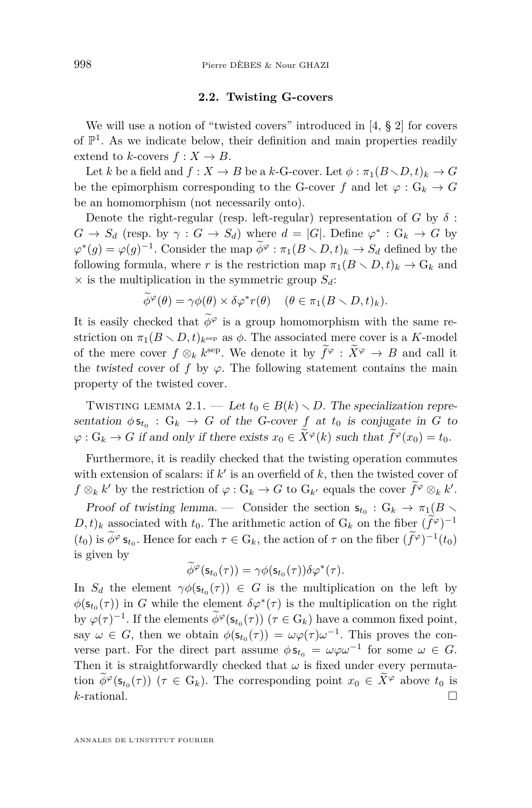#### **2.2. Twisting G-covers**

<span id="page-10-0"></span>We will use a notion of "twisted covers" introduced in [\[4,](#page-23-0) § 2] for covers of  $\mathbb{P}^1$ . As we indicate below, their definition and main properties readily extend to *k*-covers  $f: X \to B$ .

Let *k* be a field and  $f: X \to B$  be a *k*-G-cover. Let  $\phi: \pi_1(B \setminus D, t)_k \to G$ be the epimorphism corresponding to the G-cover *f* and let  $\varphi : G_k \to G$ be an homomorphism (not necessarily onto).

Denote the right-regular (resp. left-regular) representation of  $G$  by  $\delta$ :  $G \to S_d$  (resp. by  $\gamma : G \to S_d$ ) where  $d = |G|$ . Define  $\varphi^* : G_k \to G$  by  $\varphi^*(g) = \varphi(g)^{-1}$ . Consider the map  $\widetilde{\phi}^{\varphi} : \pi_1(B \setminus D, t)_k \to S_d$  defined by the following formula, where *r* is the restriction map  $\pi_1(B \setminus D, t)_k \to G_k$  and  $\times$  is the multiplication in the symmetric group  $S_d$ :

$$
\widetilde{\phi}^{\varphi}(\theta) = \gamma \phi(\theta) \times \delta \varphi^* r(\theta) \quad (\theta \in \pi_1(B \setminus D, t)_k).
$$

It is easily checked that  $\tilde{\phi}^{\varphi}$  is a group homomorphism with the same restriction on  $\pi_1(B \setminus D, t)_{k^{\text{sep}}}$  as  $\phi$ . The associated mere cover is a *K*-model of the mere cover  $f \otimes_k k^{\text{sep}}$ . We denote it by  $\tilde{f}^{\varphi} : X^{\varphi} \to B$  and call it the twisted cover of  $f$  by  $\varphi$ . The following statement contains the main property of the twisted cover.

TWISTING LEMMA 2.1. — Let  $t_0 \in B(k) \setminus D$ . The specialization representation  $\phi$ **s**<sub>*t*0</sub> :  $G_k \rightarrow G$  of the *G*-cover *f* at *t*<sub>0</sub> is conjugate in *G* to  $\varphi: G_k \to G$  if and only if there exists  $x_0 \in \widetilde{X}^{\varphi}(k)$  such that  $\widetilde{f}^{\varphi}(x_0) = t_0$ .

Furthermore, it is readily checked that the twisting operation commutes with extension of scalars: if  $k'$  is an overfield of  $k$ , then the twisted cover of  $f \otimes_k k'$  by the restriction of  $\varphi : G_k \to G$  to  $G_{k'}$  equals the cover  $f^{\varphi} \otimes_k k'$ .

Proof of twisting lemma. — Consider the section  $\mathsf{s}_{t_0}$  :  $G_k \to \pi_1(B \setminus$  $D, t)_k$  associated with  $t_0$ . The arithmetic action of  $G_k$  on the fiber  $(f^{\varphi})^{-1}$  $(t_0)$  is  $\phi^{\varphi}$   $\mathsf{s}_{t_0}$ . Hence for each  $\tau \in \mathcal{G}_k$ , the action of  $\tau$  on the fiber  $(\widetilde{f}^{\varphi})^{-1}(t_0)$ is given by

$$
\widetilde{\phi}^{\varphi}(\mathsf{s}_{t_0}(\tau)) = \gamma \phi(\mathsf{s}_{t_0}(\tau)) \delta \varphi^*(\tau).
$$

In  $S_d$  the element  $\gamma \phi(\mathbf{s}_{t_0}(\tau)) \in G$  is the multiplication on the left by  $\phi(\mathsf{s}_{t_0}(\tau))$  in *G* while the element  $\delta\varphi^*(\tau)$  is the multiplication on the right by  $\varphi(\tau)^{-1}$ . If the elements  $\phi^{\varphi}(\mathsf{s}_{t_0}(\tau))$  ( $\tau \in \mathcal{G}_k$ ) have a common fixed point, say  $\omega \in G$ , then we obtain  $\phi(\mathsf{s}_{t_0}(\tau)) = \omega \varphi(\tau) \omega^{-1}$ . This proves the converse part. For the direct part assume  $\phi \mathbf{s}_{t_0} = \omega \varphi \omega^{-1}$  for some  $\omega \in G$ . Then it is straightforwardly checked that  $\omega$  is fixed under every permutation  $\phi^{\varphi}(s_{t_0}(\tau))$  ( $\tau \in G_k$ ). The corresponding point  $x_0 \in \tilde{X}^{\varphi}$  above  $t_0$  is *k*-rational.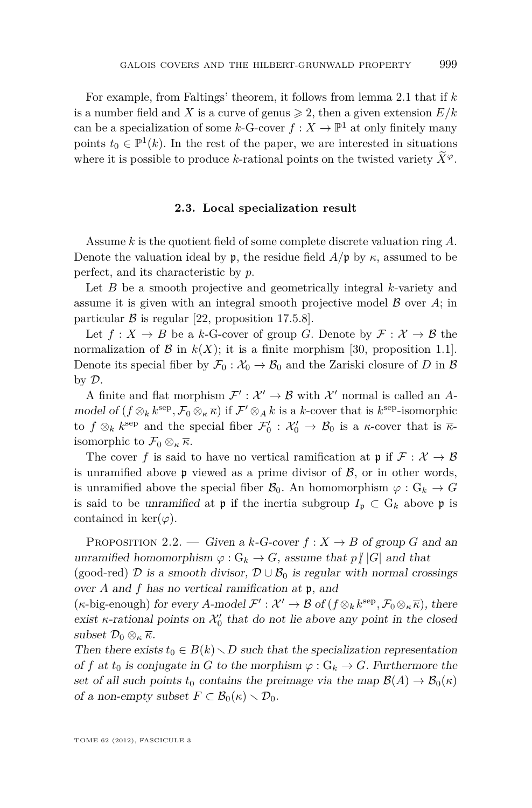<span id="page-11-0"></span>For example, from Faltings' theorem, it follows from lemma [2.1](#page-10-0) that if *k* is a number field and *X* is a curve of genus  $\geq 2$ , then a given extension  $E/k$ can be a specialization of some  $k$ -G-cover  $f: X \to \mathbb{P}^1$  at only finitely many points  $t_0 \in \mathbb{P}^1(k)$ . In the rest of the paper, we are interested in situations where it is possible to produce *k*-rational points on the twisted variety  $X^{\varphi}$ .

#### **2.3. Local specialization result**

Assume *k* is the quotient field of some complete discrete valuation ring *A*. Denote the valuation ideal by  $\mathfrak{p}$ , the residue field  $A/\mathfrak{p}$  by  $\kappa$ , assumed to be perfect, and its characteristic by *p*.

Let *B* be a smooth projective and geometrically integral *k*-variety and assume it is given with an integral smooth projective model  $\beta$  over  $A$ ; in particular  $\beta$  is regular [\[22,](#page-24-0) proposition 17.5.8].

Let  $f: X \to B$  be a *k*-G-cover of group *G*. Denote by  $\mathcal{F}: X \to B$  the normalization of  $\mathcal B$  in  $k(X)$ ; it is a finite morphism [\[30,](#page-24-0) proposition 1.1]. Denote its special fiber by  $\mathcal{F}_0 : \mathcal{X}_0 \to \mathcal{B}_0$  and the Zariski closure of *D* in  $\mathcal{B}$ by D.

A finite and flat morphism  $\mathcal{F}' : \mathcal{X}' \to \mathcal{B}$  with  $\mathcal{X}'$  normal is called an Amodel of  $(f \otimes_k k^{\text{sep}}, \mathcal{F}_0 \otimes_k \overline{\kappa})$  if  $\mathcal{F}' \otimes_A k$  is a *k*-cover that is  $k^{\text{sep}}$ -isomorphic to  $f \otimes_k k^{\text{sep}}$  and the special fiber  $\mathcal{F}'_0 : \mathcal{X}'_0 \to \mathcal{B}_0$  is a *κ*-cover that is  $\overline{\kappa}$ isomorphic to  $\mathcal{F}_0 \otimes_{\kappa} \overline{\kappa}$ .

The cover *f* is said to have no vertical ramification at  $\mathfrak{p}$  if  $\mathcal{F} : \mathcal{X} \to \mathcal{B}$ is unramified above  $\mathfrak p$  viewed as a prime divisor of  $\mathcal B$ , or in other words, is unramified above the special fiber  $\mathcal{B}_0$ . An homomorphism  $\varphi : G_k \to G$ is said to be unramified at  $\mathfrak{p}$  if the inertia subgroup  $I_{\mathfrak{p}} \subset G_k$  above  $\mathfrak{p}$  is contained in ker $(\varphi)$ .

PROPOSITION 2.2. — Given a k-G-cover  $f: X \rightarrow B$  of group G and an unramified homomorphism  $\varphi$ :  $G_k \to G$ , assume that  $p / |G|$  and that

(good-red)  $\mathcal D$  is a smooth divisor,  $\mathcal D \cup \mathcal B_0$  is regular with normal crossings over *A* and *f* has no vertical ramification at p, and

 $(\kappa$ -big-enough) for every *A*-model  $\mathcal{F}' : \mathcal{X}' \to \mathcal{B}$  of  $(f \otimes_k k^{\text{sep}}, \mathcal{F}_0 \otimes_k \overline{\kappa})$ , there exist  $\kappa$ -rational points on  $\mathcal{X}'_0$  that do not lie above any point in the closed subset  $\mathcal{D}_0 \otimes_{\kappa} \overline{\kappa}$ .

Then there exists  $t_0 \in B(k) \setminus D$  such that the specialization representation of *f* at  $t_0$  is conjugate in *G* to the morphism  $\varphi : G_k \to G$ . Furthermore the set of all such points  $t_0$  contains the preimage via the map  $\mathcal{B}(A) \to \mathcal{B}_0(\kappa)$ of a non-empty subset  $F \subset \mathcal{B}_0(\kappa) \setminus \mathcal{D}_0$ .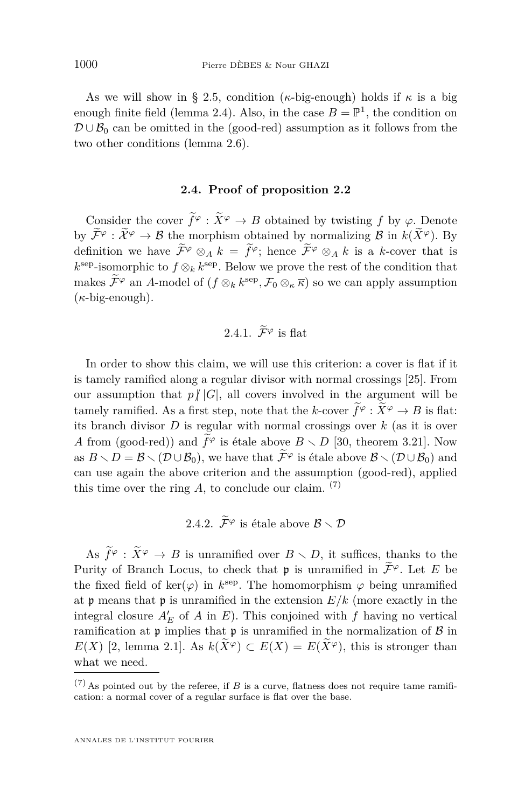<span id="page-12-0"></span>As we will show in § [2.5,](#page-14-0) condition  $(\kappa$ -big-enough) holds if  $\kappa$  is a big enough finite field (lemma [2.4\)](#page-14-0). Also, in the case  $B = \mathbb{P}^1$ , the condition on  $\mathcal{D} \cup \mathcal{B}_0$  can be omitted in the (good-red) assumption as it follows from the two other conditions (lemma [2.6\)](#page-15-0).

#### **2.4. Proof of proposition [2.2](#page-11-0)**

Consider the cover  $\widetilde{f}^{\varphi}$  :  $\widetilde{X}^{\varphi} \to B$  obtained by twisting f by  $\varphi$ . Denote by  $\widetilde{\mathcal{F}}^{\varphi}: \widetilde{\mathcal{X}}^{\varphi} \to \mathcal{B}$  the morphism obtained by normalizing  $\mathcal{B}$  in  $k(\widetilde{X}^{\varphi})$ . By definition we have  $\widetilde{\mathcal{F}}^{\varphi} \otimes_A k = \widetilde{f}^{\varphi}$ ; hence  $\widetilde{\mathcal{F}}^{\varphi} \otimes_A k$  is a *k*-cover that is  $k^{\text{sep}}$ -isomorphic to  $f \otimes_k k^{\text{sep}}$ . Below we prove the rest of the condition that makes  $\mathcal{F}^{\varphi}$  an *A*-model of  $(f \otimes_k k^{\text{sep}}, \mathcal{F}_0 \otimes_k \overline{\kappa})$  so we can apply assumption (*κ*-big-enough).

2.4.1. 
$$
\widetilde{\mathcal{F}}^{\varphi}
$$
 is flat

In order to show this claim, we will use this criterion: a cover is flat if it is tamely ramified along a regular divisor with normal crossings [\[25\]](#page-24-0). From our assumption that  $p/|G|$ , all covers involved in the argument will be tamely ramified. As a first step, note that the *k*-cover  $\widetilde{f}^{\varphi} : \widetilde{X}^{\varphi} \to B$  is flat: its branch divisor  $D$  is regular with normal crossings over  $k$  (as it is over *A* from (good-red)) and  $\tilde{f}^{\varphi}$  is étale above  $B \setminus D$  [\[30,](#page-24-0) theorem 3.21]. Now as  $B \setminus D = \mathcal{B} \setminus (D \cup \mathcal{B}_0)$ , we have that  $\widetilde{\mathcal{F}}^{\varphi}$  is étale above  $\mathcal{B} \setminus (D \cup \mathcal{B}_0)$  and can use again the above criterion and the assumption (good-red), applied this time over the ring  $A$ , to conclude our claim.  $(7)$ 

2.4.2. 
$$
\widetilde{\mathcal{F}}^{\varphi}
$$
 is étale above  $\mathcal{B} \setminus \mathcal{D}$ 

As  $\widetilde{f}^{\varphi}$  :  $\widetilde{X}^{\varphi} \to B$  is unramified over  $B \setminus D$ , it suffices, thanks to the Purity of Branch Locus, to check that **p** is unramified in  $\widetilde{\mathcal{F}}^{\varphi}$ . Let *E* be the fixed field of ker( $\varphi$ ) in  $k^{\text{sep}}$ . The homomorphism  $\varphi$  being unramified at  $\mathfrak p$  means that  $\mathfrak p$  is unramified in the extension  $E/k$  (more exactly in the integral closure  $A'_E$  of *A* in *E*). This conjoined with *f* having no vertical ramification at  $\mathfrak p$  implies that  $\mathfrak p$  is unramified in the normalization of  $\mathcal B$  in *E*(*X*) [\[2,](#page-23-0) lemma 2.1]. As  $k(\widetilde{X}^{\varphi}) \subset E(X) = E(\widetilde{X}^{\varphi})$ , this is stronger than what we need.

 $(7)$ As pointed out by the referee, if *B* is a curve, flatness does not require tame ramification: a normal cover of a regular surface is flat over the base.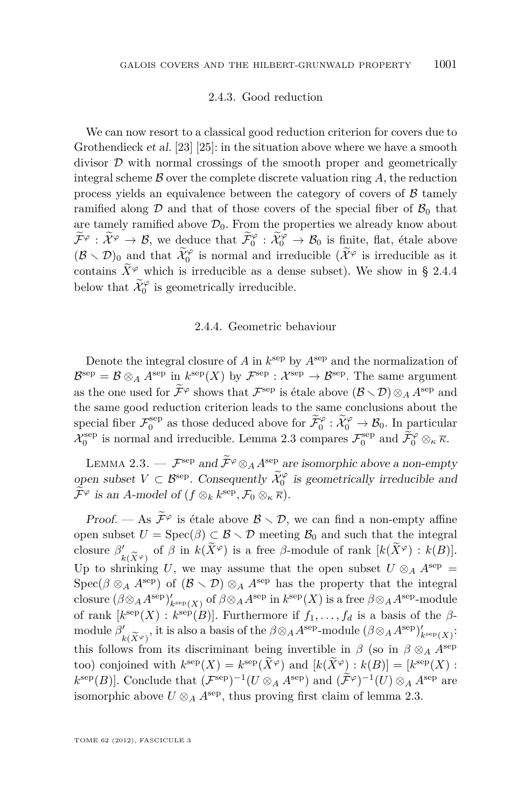#### 2.4.3. Good reduction

<span id="page-13-0"></span>We can now resort to a classical good reduction criterion for covers due to Grothendieck et al. [\[23\]](#page-24-0) [\[25\]](#page-24-0): in the situation above where we have a smooth divisor  $D$  with normal crossings of the smooth proper and geometrically integral scheme B over the complete discrete valuation ring *A*, the reduction process yields an equivalence between the category of covers of  $\beta$  tamely ramified along  $\mathcal D$  and that of those covers of the special fiber of  $\mathcal B_0$  that are tamely ramified above  $\mathcal{D}_0$ . From the properties we already know about  $\widetilde{\mathcal{F}}^{\varphi} : \widetilde{\mathcal{X}}^{\varphi} \to \mathcal{B}_0$  is finite, flat, étale above<br> $\widetilde{\mathcal{F}}^{\varphi} : \widetilde{\mathcal{X}}^{\varphi} \to \mathcal{B}_0$  is finite, flat, étale above  $(\mathcal{B} \setminus \mathcal{D})_0$  and that  $\widetilde{\mathcal{X}}_0^{\varphi}$  is normal and irreducible  $(\widetilde{\mathcal{X}}^{\varphi})$  is irreducible as it contains  $\widetilde{X}^{\varphi}$  which is irreducible as a dense subset). We show in § 2.4.4 below that  $\widetilde{\mathcal{X}}_0^{\varphi}$  is geometrically irreducible.

#### 2.4.4. Geometric behaviour

Denote the integral closure of *A* in  $k^{\text{sep}}$  by  $A^{\text{sep}}$  and the normalization of  $\mathcal{B}^{\text{sep}} = \mathcal{B} \otimes_A A^{\text{sep}}$  in  $k^{\text{sep}}(X)$  by  $\mathcal{F}^{\text{sep}} : \mathcal{X}^{\text{sep}} \to \mathcal{B}^{\text{sep}}$ . The same argument as the one used for  $\widetilde{\mathcal{F}}^{\varphi}$  shows that  $\mathcal{F}^{\text{sep}}$  is étale above  $(\mathcal{B} \setminus \mathcal{D}) \otimes_A A^{\text{sep}}$  and the same good reduction criterion leads to the same conclusions about the special fiber  $\mathcal{F}_0^{\text{sep}}$  as those deduced above for  $\widetilde{\mathcal{F}}_0^{\varphi}$  :  $\widetilde{\mathcal{X}}_0^{\varphi} \to \mathcal{B}_0$ . In particular  $\mathcal{X}_0^{\text{sep}}$  is normal and irreducible. Lemma 2.3 compares  $\mathcal{F}_0^{\text{sep}}$  and  $\widetilde{\mathcal{F}}_0^{\varphi} \otimes_{\kappa} \overline{\kappa}$ .

LEMMA 2.3. —  $\mathcal{F}^{\text{sep}}$  and  $\widetilde{\mathcal{F}}^{\varphi} \otimes_A A^{\text{sep}}$  are isomorphic above a non-empty open subset  $V \subset \mathcal{B}^{\text{sep}}$ . Consequently  $\widetilde{\mathcal{X}}_0^{\varphi}$  is geometrically irreducible and  $\mathcal{F}^{\varphi}$  is an *A*-model of  $(f \otimes_k k^{\text{sep}}, \mathcal{F}_0 \otimes_k \overline{\kappa}).$ 

*Proof.* — As  $\widetilde{\mathcal{F}}^{\varphi}$  is étale above  $\mathcal{B} \setminus \mathcal{D}$ , we can find a non-empty affine open subset  $U = \text{Spec}(\beta) \subset \mathcal{B} \setminus \mathcal{D}$  meeting  $\mathcal{B}_0$  and such that the integral closure  $\beta'_{k(\widetilde{X}^{\varphi})}$  of  $\beta$  in  $k(\widetilde{X}^{\varphi})$  is a free  $\beta$ -module of rank  $[k(\widetilde{X}^{\varphi}) : k(B)].$ Up to shrinking *U*, we may assume that the open subset  $U \otimes_A A^{\text{sep}} =$ Spec( $\beta \otimes_A A^{\text{sep}}$ ) of  $(\beta \setminus \mathcal{D}) \otimes_A A^{\text{sep}}$  has the property that the integral  $\cosh(\beta \otimes_A A^{\text{sep}})_{k^{\text{sep}}(X)}^{\prime}$  of  $\beta \otimes_A A^{\text{sep}}$  in  $k^{\text{sep}}(X)$  is a free  $\beta \otimes_A A^{\text{sep}}$ -module of rank  $[k^{\text{sep}}(X) : k^{\text{sep}}(B)]$ . Furthermore if  $f_1, \ldots, f_d$  is a basis of the  $\beta$ module  $\beta'_{\substack{k \in \widetilde{X} \varphi}}$ , it is also a basis of the  $\beta \otimes_A A^{\text{sep}}$ -module  $(\beta \otimes_A A^{\text{sep}})_{\substack{k \text{sep}(X) \\ \varphi}}$ . this follows from its discriminant being invertible in *β* (so in  $\beta \otimes_A A^{\text{sep}}$ ) too) conjoined with  $k^{\text{sep}}(X) = k^{\text{sep}}(\tilde{X}^{\varphi})$  and  $[k(\tilde{X}^{\varphi}):k(B)] = [k^{\text{sep}}(X):$  $k^{\text{sep}}(B)$ . Conclude that  $(\mathcal{F}^{\text{sep}})^{-1}(U \otimes_A A^{\text{sep}})$  and  $(\tilde{\mathcal{F}}^{\varphi})^{-1}(U) \otimes_A A^{\text{sep}}$  are isomorphic above  $U \otimes_A A^{\rm sep}$ , thus proving first claim of lemma 2.3.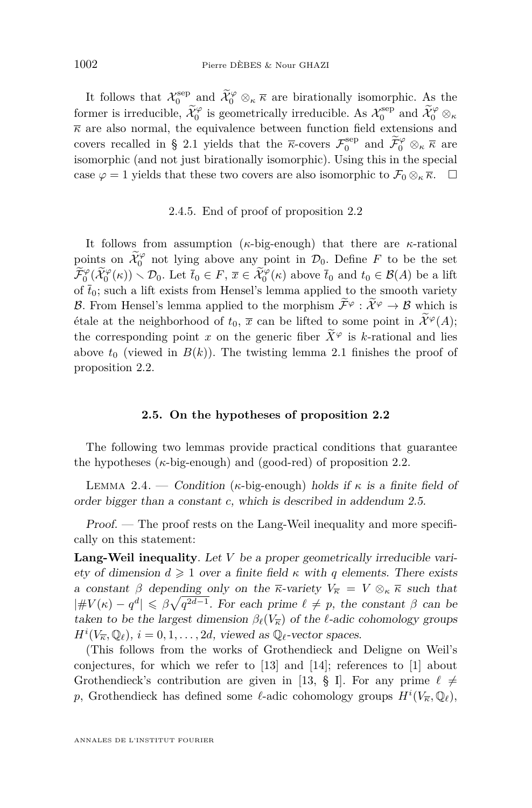<span id="page-14-0"></span>It follows that  $\mathcal{X}_0^{\text{sep}}$  and  $\widetilde{\mathcal{X}}_0^{\varphi} \otimes_{\kappa} \overline{\kappa}$  are birationally isomorphic. As the former is irreducible,  $\widetilde{\mathcal{X}}_0^{\varphi}$  is geometrically irreducible. As  $\mathcal{X}_0^{\text{sep}}$  and  $\widetilde{\mathcal{X}}_0^{\varphi} \otimes_{\kappa}$  $\overline{\kappa}$  are also normal, the equivalence between function field extensions and covers recalled in § [2.1](#page-9-0) yields that the  $\bar{\kappa}$ -covers  $\mathcal{F}_0^{\text{sep}}$  and  $\tilde{\mathcal{F}}_0^{\varphi} \otimes_{\kappa} \bar{\kappa}$  are isomorphic (and not just birationally isomorphic). Using this in the special case  $\varphi = 1$  yields that these two covers are also isomorphic to  $\mathcal{F}_0 \otimes_{\kappa} \overline{\kappa}$ .  $\square$ 

#### 2.4.5. End of proof of proposition [2.2](#page-11-0)

It follows from assumption (*κ*-big-enough) that there are *κ*-rational points on  $\widetilde{\mathcal{X}}_0^{\varphi}$  not lying above any point in  $\mathcal{D}_0$ . Define *F* to be the set  $\widetilde{\mathcal{F}}_0^{\varphi}(\widetilde{\mathcal{X}}_0^{\varphi}(\kappa)) \setminus \mathcal{D}_0$ . Let  $\overline{t}_0 \in F$ ,  $\overline{x} \in \widetilde{\mathcal{X}}_0^{\varphi}(\kappa)$  above  $\overline{t}_0$  and  $t_0 \in \mathcal{B}(A)$  be a lift of  $\bar{t}_0$ ; such a lift exists from Hensel's lemma applied to the smooth variety B. From Hensel's lemma applied to the morphism  $\widetilde{\mathcal{F}}^{\varphi}$  :  $\widetilde{\mathcal{X}}^{\varphi} \to \mathcal{B}$  which is étale at the neighborhood of  $t_0$ ,  $\bar{x}$  can be lifted to some point in  $\widetilde{\mathcal{X}}^{\varphi}(A)$ ; the corresponding point *x* on the generic fiber  $\widetilde{X}^{\varphi}$  is *k*-rational and lies above  $t_0$  (viewed in  $B(k)$ ). The twisting lemma [2.1](#page-10-0) finishes the proof of proposition [2.2.](#page-11-0)

#### **2.5. On the hypotheses of proposition [2.2](#page-11-0)**

The following two lemmas provide practical conditions that guarantee the hypotheses  $(\kappa$ -big-enough) and (good-red) of proposition [2.2.](#page-11-0)

LEMMA 2.4. — Condition  $(\kappa$ -big-enough) holds if  $\kappa$  is a finite field of order bigger than a constant *c*, which is described in addendum [2.5.](#page-15-0)

Proof. — The proof rests on the Lang-Weil inequality and more specifically on this statement:

**Lang-Weil inequality**. Let *V* be a proper geometrically irreducible variety of dimension  $d \geq 1$  over a finite field  $\kappa$  with q elements. There exists a constant *β* depending only on the  $\bar{\kappa}$ -variety  $V_{\bar{\kappa}} = V \otimes_{\kappa} \bar{\kappa}$  such that  $|\#V(\kappa) - q^d| \leq \beta \sqrt{q^{2d-1}}$ . For each prime  $\ell \neq p$ , the constant  $\beta$  can be taken to be the largest dimension  $\beta_{\ell}(V_{\overline{k}})$  of the  $\ell$ -adic cohomology groups  $H^i(V_{\overline{\kappa}}, \mathbb{Q}_\ell)$ ,  $i = 0, 1, \ldots, 2d$ , viewed as  $\mathbb{Q}_\ell$ -vector spaces.

(This follows from the works of Grothendieck and Deligne on Weil's conjectures, for which we refer to [\[13\]](#page-24-0) and [\[14\]](#page-24-0); references to [\[1\]](#page-23-0) about Grothendieck's contribution are given in [\[13,](#page-24-0) § I]. For any prime  $\ell \neq$ *p*, Grothendieck has defined some  $\ell$ -adic cohomology groups  $H^i(V_{\overline{\kappa}}, \mathbb{Q}_\ell)$ ,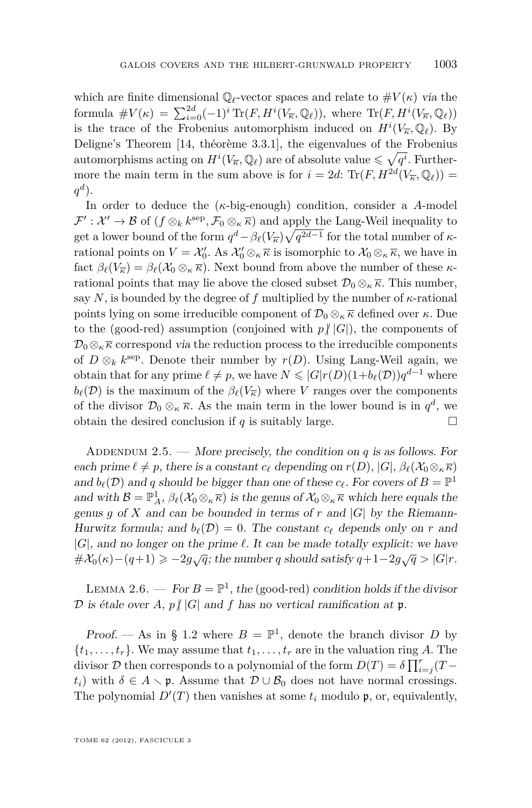<span id="page-15-0"></span>which are finite dimensional  $\mathbb{Q}_\ell$ -vector spaces and relate to  $\#V(\kappa)$  via the formula  $\#V(\kappa) = \sum_{i=0}^{2d} (-1)^i \text{Tr}(F, H^i(V_{\overline{\kappa}}, \mathbb{Q}_\ell))$ , where  $\text{Tr}(F, H^i(V_{\overline{\kappa}}, \mathbb{Q}_\ell))$ is the trace of the Frobenius automorphism induced on  $H^i(V_{\overline{\kappa}}, \mathbb{Q}_\ell)$ . By Deligne's Theorem [\[14,](#page-24-0) théorème 3.3.1], the eigenvalues of the Frobenius automorphisms acting on  $H^i(V_{\overline{\kappa}}, \mathbb{Q}_\ell)$  are of absolute value  $\leqslant \sqrt{q^i}$ . Furthermore the main term in the sum above is for  $i = 2d$ :  $\text{Tr}(F, H^{2d}(V_{\overline{\kappa}}, \mathbb{Q}_{\ell}))$  = *q d* ).

In order to deduce the (*κ*-big-enough) condition, consider a *A*-model  $\mathcal{F}' : \mathcal{X}' \to \mathcal{B}$  of  $(f \otimes_k k^{\text{sep}}, \mathcal{F}_0 \otimes_k \overline{\kappa})$  and apply the Lang-Weil inequality to get a lower bound of the form  $q^d - \beta_\ell(V_{\overline{\kappa}})\sqrt{q^{2d-1}}$  for the total number of  $\kappa$ rational points on  $V = \mathcal{X}'_0$ . As  $\mathcal{X}'_0 \otimes_{\kappa} \overline{\kappa}$  is isomorphic to  $\mathcal{X}_0 \otimes_{\kappa} \overline{\kappa}$ , we have in fact  $\beta_{\ell}(V_{\overline{\kappa}}) = \beta_{\ell}(\mathcal{X}_0 \otimes_{\kappa} \overline{\kappa})$ . Next bound from above the number of these  $\kappa$ rational points that may lie above the closed subset  $\mathcal{D}_0 \otimes_k \overline{\kappa}$ . This number, say *N*, is bounded by the degree of *f* multiplied by the number of  $\kappa$ -rational points lying on some irreducible component of  $\mathcal{D}_0 \otimes_{\kappa} \overline{\kappa}$  defined over  $\kappa$ . Due to the (good-red) assumption (conjoined with  $p/|G|$ ), the components of  $\mathcal{D}_0 \otimes_{\kappa} \overline{\kappa}$  correspond via the reduction process to the irreducible components of  $D \otimes_k k^{\text{sep}}$ . Denote their number by  $r(D)$ . Using Lang-Weil again, we obtain that for any prime  $\ell \neq p$ , we have  $N \leqslant |G|r(D)(1+b_{\ell}(D))q^{d-1}$  where  $b_{\ell}(\mathcal{D})$  is the maximum of the  $\beta_{\ell}(V_{\overline{k}})$  where *V* ranges over the components of the divisor  $\mathcal{D}_0 \otimes_{\kappa} \overline{\kappa}$ . As the main term in the lower bound is in  $q^d$ , we obtain the desired conclusion if  $q$  is suitably large.  $\Box$ 

ADDENDUM 2.5. — More precisely, the condition on  $q$  is as follows. For each prime  $\ell \neq p$ , there is a constant  $c_{\ell}$  depending on  $r(D)$ ,  $|G|$ ,  $\beta_{\ell}(\mathcal{X}_0 \otimes_{\kappa} \overline{\kappa})$ and  $b_{\ell}(\mathcal{D})$  and *q* should be bigger than one of these  $c_{\ell}$ . For covers of  $B = \mathbb{P}^1$ and with  $\mathcal{B} = \mathbb{P}^1_A$ ,  $\beta_\ell(\mathcal{X}_0 \otimes_\kappa \overline{\kappa})$  is the genus of  $\mathcal{X}_0 \otimes_\kappa \overline{\kappa}$  which here equals the genus *g* of *X* and can be bounded in terms of *r* and  $|G|$  by the Riemann-Hurwitz formula; and  $b_{\ell}(\mathcal{D}) = 0$ . The constant  $c_{\ell}$  depends only on *r* and  $|G|$ , and no longer on the prime  $\ell$ . It can be made totally explicit: we have  $#X_0(\kappa) - (q+1) \ge -2g\sqrt{q}$ ; the number *q* should satisfy  $q+1-2g\sqrt{q} > |G|r$ .

LEMMA 2.6. — For  $B = \mathbb{P}^1$ , the (good-red) condition holds if the divisor D is étale over A,  $p / |G|$  and f has no vertical ramification at p.

Proof. — As in § [1.2](#page-2-0) where  $B = \mathbb{P}^1$ , denote the branch divisor *D* by  ${t_1, \ldots, t_r}$ . We may assume that  $t_1, \ldots, t_r$  are in the valuation ring *A*. The divisor  $D$  then corresponds to a polynomial of the form  $D(T) = \delta \prod_{i=j}^{r} (T$ *t<sub>i</sub>*) with  $\delta \in A \setminus \mathfrak{p}$ . Assume that  $\mathcal{D} \cup \mathcal{B}_0$  does not have normal crossings. The polynomial  $D'(T)$  then vanishes at some  $t_i$  modulo  $\mathfrak{p}$ , or, equivalently,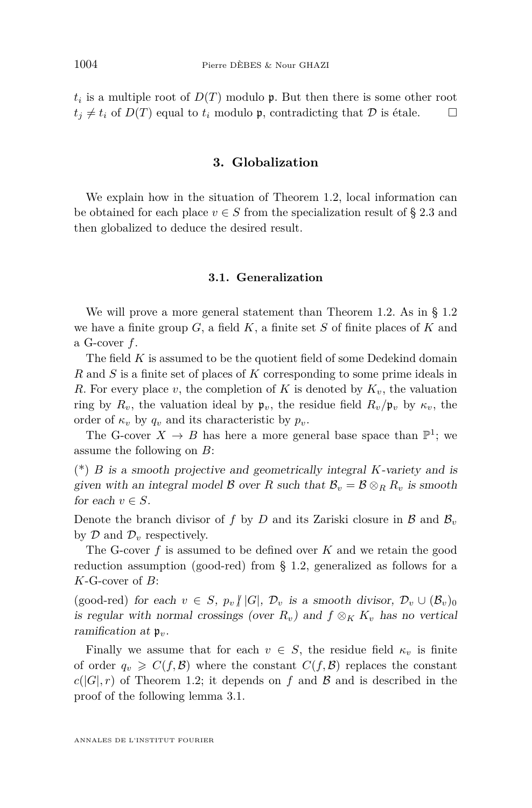<span id="page-16-0"></span> $t_i$  is a multiple root of  $D(T)$  modulo  $\mathfrak{p}$ . But then there is some other root  $t_i \neq t_i$  of  $D(T)$  equal to  $t_i$  modulo **p**, contradicting that  $D$  is étale.  $\square$ 

#### **3. Globalization**

We explain how in the situation of Theorem [1.2,](#page-2-0) local information can be obtained for each place  $v \in S$  from the specialization result of § [2.3](#page-11-0) and then globalized to deduce the desired result.

#### **3.1. Generalization**

We will prove a more general statement than Theorem [1.2.](#page-2-0) As in § [1.2](#page-2-0) we have a finite group *G*, a field *K*, a finite set *S* of finite places of *K* and a G-cover *f*.

The field *K* is assumed to be the quotient field of some Dedekind domain *R* and *S* is a finite set of places of *K* corresponding to some prime ideals in *R*. For every place *v*, the completion of *K* is denoted by  $K_v$ , the valuation ring by  $R_v$ , the valuation ideal by  $\mathfrak{p}_v$ , the residue field  $R_v/\mathfrak{p}_v$  by  $\kappa_v$ , the order of  $\kappa_v$  by  $q_v$  and its characteristic by  $p_v$ .

The G-cover  $X \to B$  has here a more general base space than  $\mathbb{P}^1$ ; we assume the following on *B*:

(\*) *B* is a smooth projective and geometrically integral *K*-variety and is given with an integral model  $\beta$  over  $R$  such that  $\beta_v = \beta \otimes_R R_v$  is smooth for each  $v \in S$ .

Denote the branch divisor of *f* by *D* and its Zariski closure in  $\mathcal{B}$  and  $\mathcal{B}_v$ by  $\mathcal D$  and  $\mathcal D_v$  respectively.

The G-cover *f* is assumed to be defined over *K* and we retain the good reduction assumption (good-red) from § [1.2,](#page-2-0) generalized as follows for a *K*-G-cover of *B*:

(good-red) for each  $v \in S$ ,  $p_v / |G|$ ,  $\mathcal{D}_v$  is a smooth divisor,  $\mathcal{D}_v \cup (\mathcal{B}_v)_0$ is regular with normal crossings (over  $R_v$ ) and  $f \otimes_K K_v$  has no vertical ramification at p*v*.

Finally we assume that for each  $v \in S$ , the residue field  $\kappa_v$  is finite of order  $q_v \geq C(f, \mathcal{B})$  where the constant  $C(f, \mathcal{B})$  replaces the constant  $c(|G|, r)$  of Theorem [1.2;](#page-2-0) it depends on f and B and is described in the proof of the following lemma [3.1.](#page-17-0)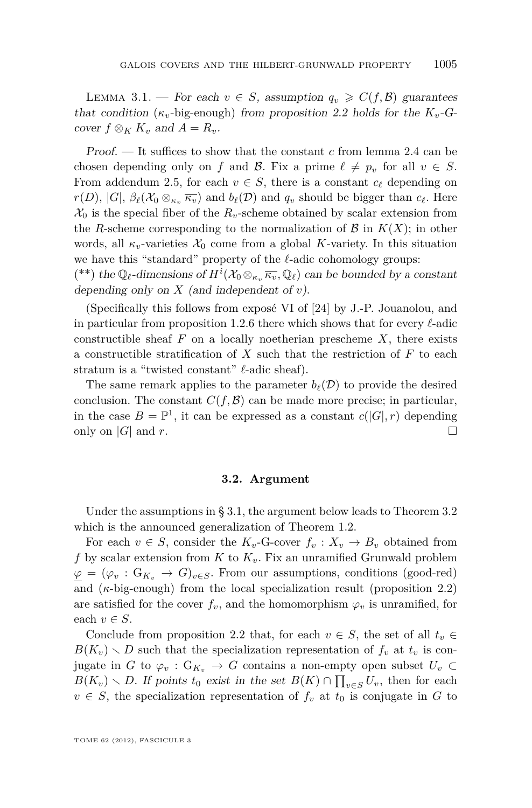<span id="page-17-0"></span>LEMMA 3.1. — For each  $v \in S$ , assumption  $q_v \geq C(f, \mathcal{B})$  guarantees that condition  $(\kappa_v$ -big-enough) from proposition [2.2](#page-11-0) holds for the  $K_v$ -Gcover  $f \otimes_K K_v$  and  $A = R_v$ .

Proof. — It suffices to show that the constant *c* from lemma [2.4](#page-14-0) can be chosen depending only on *f* and *B*. Fix a prime  $\ell \neq p_v$  for all  $v \in S$ . From addendum [2.5,](#page-15-0) for each  $v \in S$ , there is a constant  $c_{\ell}$  depending on *r*(*D*), |*G*|,  $\beta_{\ell}(\mathcal{X}_0 \otimes_{\kappa_n} \overline{\kappa_v})$  and  $b_{\ell}(\mathcal{D})$  and  $q_v$  should be bigger than  $c_{\ell}$ . Here  $\mathcal{X}_0$  is the special fiber of the  $R_v$ -scheme obtained by scalar extension from the *R*-scheme corresponding to the normalization of  $\mathcal{B}$  in  $K(X)$ ; in other words, all  $\kappa_v$ -varieties  $\mathcal{X}_0$  come from a global *K*-variety. In this situation we have this "standard" property of the  $\ell$ -adic cohomology groups:

(\*\*) the  $\mathbb{Q}_\ell$ -dimensions of  $H^i(\mathcal{X}_0 \otimes_{\kappa_v} \overline{\kappa_v}, \mathbb{Q}_\ell)$  can be bounded by a constant depending only on *X* (and independent of *v*).

(Specifically this follows from exposé VI of [\[24\]](#page-24-0) by J.-P. Jouanolou, and in particular from proposition 1.2.6 there which shows that for every  $\ell$ -adic constructible sheaf  $F$  on a locally noetherian prescheme  $X$ , there exists a constructible stratification of *X* such that the restriction of *F* to each stratum is a "twisted constant"  $\ell$ -adic sheaf).

The same remark applies to the parameter  $b_{\ell}(\mathcal{D})$  to provide the desired conclusion. The constant  $C(f, \mathcal{B})$  can be made more precise; in particular, in the case  $B = \mathbb{P}^1$ , it can be expressed as a constant  $c(|G|, r)$  depending only on  $|G|$  and *r*.

#### **3.2. Argument**

Under the assumptions in § [3.1,](#page-16-0) the argument below leads to Theorem [3.2](#page-18-0) which is the announced generalization of Theorem [1.2.](#page-2-0)

For each  $v \in S$ , consider the  $K_v$ -G-cover  $f_v: X_v \to B_v$  obtained from *f* by scalar extension from *K* to *Kv*. Fix an unramified Grunwald problem  $\varphi = (\varphi_v : G_{K_v} \to G)_{v \in S}$ . From our assumptions, conditions (good-red) and  $(\kappa$ -big-enough) from the local specialization result (proposition [2.2\)](#page-11-0) are satisfied for the cover  $f_v$ , and the homomorphism  $\varphi_v$  is unramified, for each  $v \in S$ .

Conclude from proposition [2.2](#page-11-0) that, for each  $v \in S$ , the set of all  $t_v \in$  $B(K_v) \setminus D$  such that the specialization representation of  $f_v$  at  $t_v$  is conjugate in *G* to  $\varphi_v$ :  $G_{K_v} \to G$  contains a non-empty open subset  $U_v \subset$  $B(K_v) \setminus D$ . If points  $t_0$  exist in the set  $B(K) \cap \prod_{v \in S} U_v$ , then for each  $v \in S$ , the specialization representation of  $f_v$  at  $t_0$  is conjugate in  $G$  to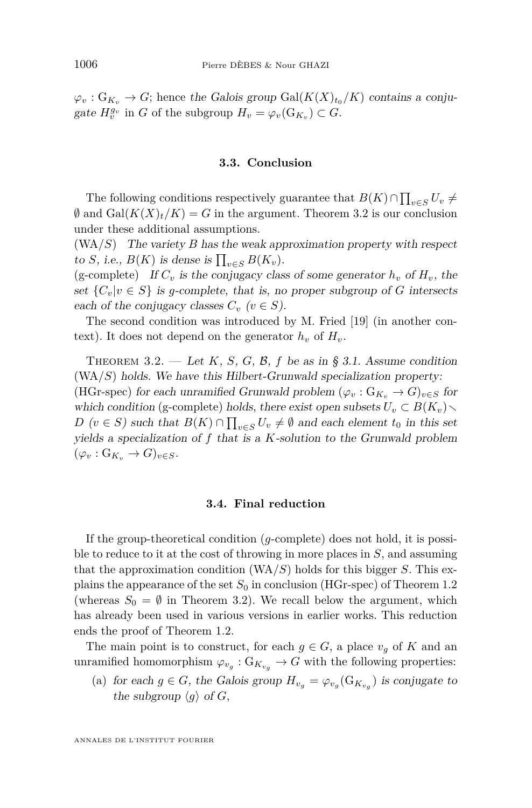<span id="page-18-0"></span> $\varphi_v$ :  $G_{K_v} \to G$ ; hence the Galois group  $Gal(K(X)_{t_0}/K)$  contains a conjugate  $H_v^{g_v}$  in *G* of the subgroup  $H_v = \varphi_v(\mathcal{G}_{K_v}) \subset G$ .

#### **3.3. Conclusion**

The following conditions respectively guarantee that  $B(K) \cap \prod_{v \in S} U_v \neq$  $\emptyset$  and  $Gal(K(X)_t/K) = G$  in the argument. Theorem 3.2 is our conclusion under these additional assumptions.

(WA/*S*) The variety *B* has the weak approximation property with respect to *S*, i.e.,  $B(K)$  is dense is  $\prod_{v \in S} B(K_v)$ .

(g-complete) If  $C_v$  is the conjugacy class of some generator  $h_v$  of  $H_v$ , the set  $\{C_v | v \in S\}$  is g-complete, that is, no proper subgroup of G intersects each of the conjugacy classes  $C_v$  ( $v \in S$ ).

The second condition was introduced by M. Fried [\[19\]](#page-24-0) (in another context). It does not depend on the generator  $h_v$  of  $H_v$ .

THEOREM 3.2. — Let *K*, *S*, *G*, *B*, *f* be as in § [3.1.](#page-16-0) Assume condition  $(WA/S)$  holds. We have this Hilbert-Grunwald specialization property: (HGr-spec) for each unramified Grunwald problem  $(\varphi_v : G_{K_v} \to G)_{v \in S}$  for which condition (g-complete) holds, there exist open subsets  $U_v \subset B(K_v)$ . *D* (*v*  $\in$  *S*) such that *B*(*K*) ∩  $\prod_{v \in S} U_v \neq \emptyset$  and each element *t*<sub>0</sub> in this set yields a specialization of *f* that is a *K*-solution to the Grunwald problem  $(\varphi_v : G_{K_v} \to G)_{v \in S}.$ 

#### **3.4. Final reduction**

If the group-theoretical condition (*g*-complete) does not hold, it is possible to reduce to it at the cost of throwing in more places in *S*, and assuming that the approximation condition (WA/*S*) holds for this bigger *S*. This explains the appearance of the set  $S_0$  in conclusion (HGr-spec) of Theorem [1.2](#page-2-0) (whereas  $S_0 = \emptyset$  in Theorem 3.2). We recall below the argument, which has already been used in various versions in earlier works. This reduction ends the proof of Theorem [1.2.](#page-2-0)

The main point is to construct, for each  $g \in G$ , a place  $v_g$  of *K* and an unramified homomorphism  $\varphi_{v_g}: \mathcal{G}_{K_{v_g}} \to G$  with the following properties:

(a) for each  $g \in G$ , the Galois group  $H_{v_g} = \varphi_{v_g}(\mathbb{G}_{K_{v_g}})$  is conjugate to the subgroup  $\langle g \rangle$  of *G*,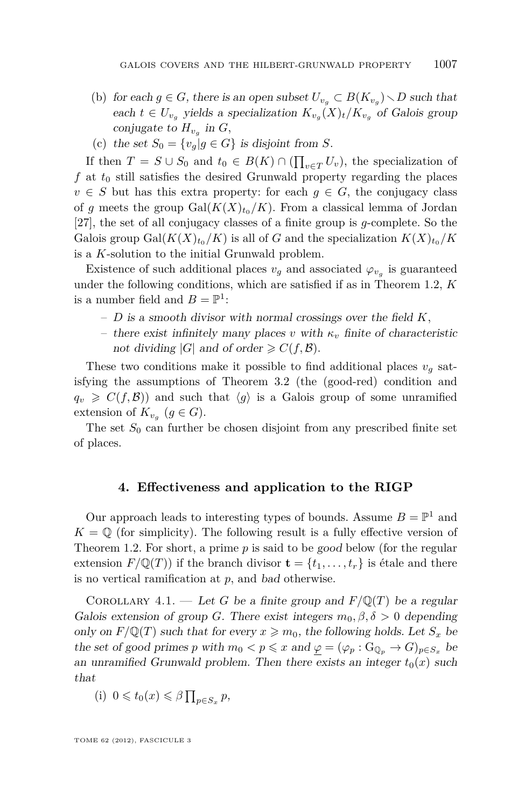- <span id="page-19-0"></span>(b) for each  $g \in G$ , there is an open subset  $U_{v_g} \subset B(K_{v_g}) \setminus D$  such that each  $t \in U_{v_g}$  yields a specialization  $K_{v_g}(X)_t/K_{v_g}$  of Galois group conjugate to  $H_{v_g}$  in  $G$ ,
- (c) the set  $S_0 = \{v_g | g \in G\}$  is disjoint from *S*.

If then  $T = S \cup S_0$  and  $t_0 \in B(K) \cap (\prod_{v \in T} U_v)$ , the specialization of  $f$  at  $t_0$  still satisfies the desired Grunwald property regarding the places  $v \in S$  but has this extra property: for each  $g \in G$ , the conjugacy class of *g* meets the group  $Gal(K(X)<sub>t<sub>0</sub></sub>/K)$ . From a classical lemma of Jordan [\[27\]](#page-24-0), the set of all conjugacy classes of a finite group is *g*-complete. So the Galois group  $Gal(K(X)_{t_0}/K)$  is all of *G* and the specialization  $K(X)_{t_0}/K$ is a *K*-solution to the initial Grunwald problem.

Existence of such additional places  $v_g$  and associated  $\varphi_{v_g}$  is guaranteed under the following conditions, which are satisfied if as in Theorem [1.2,](#page-2-0) *K* is a number field and  $B = \mathbb{P}^1$ :

- *D* is a smooth divisor with normal crossings over the field *K*,
- there exist infinitely many places *v* with *κ<sup>v</sup>* finite of characteristic not dividing  $|G|$  and of order  $\geq C(f, \mathcal{B})$ .

These two conditions make it possible to find additional places  $v<sub>g</sub>$  satisfying the assumptions of Theorem [3.2](#page-18-0) (the (good-red) condition and  $q_v \geq C(f, \mathcal{B})$  and such that  $\langle g \rangle$  is a Galois group of some unramified extension of  $K_{v_g}$   $(g \in G)$ .

The set  $S_0$  can further be chosen disjoint from any prescribed finite set of places.

#### **4. Effectiveness and application to the RIGP**

Our approach leads to interesting types of bounds. Assume  $B = \mathbb{P}^1$  and  $K = \mathbb{Q}$  (for simplicity). The following result is a fully effective version of Theorem [1.2.](#page-2-0) For short, a prime *p* is said to be good below (for the regular extension  $F/\mathbb{Q}(T)$  if the branch divisor  $\mathbf{t} = \{t_1, \ldots, t_r\}$  is étale and there is no vertical ramification at *p*, and bad otherwise.

COROLLARY 4.1. — Let G be a finite group and  $F/\mathbb{Q}(T)$  be a regular Galois extension of group *G*. There exist integers  $m_0, \beta, \delta > 0$  depending only on  $F/\mathbb{Q}(T)$  such that for every  $x \geq m_0$ , the following holds. Let  $S_x$  be the set of good primes *p* with  $m_0 < p \leq x$  and  $\varphi = (\varphi_p : G_{\mathbb{Q}_p} \to G)_{p \in S_x}$  be an unramified Grunwald problem. Then there exists an integer  $t_0(x)$  such that

(i) 
$$
0 \leq t_0(x) \leq \beta \prod_{p \in S_x} p
$$
,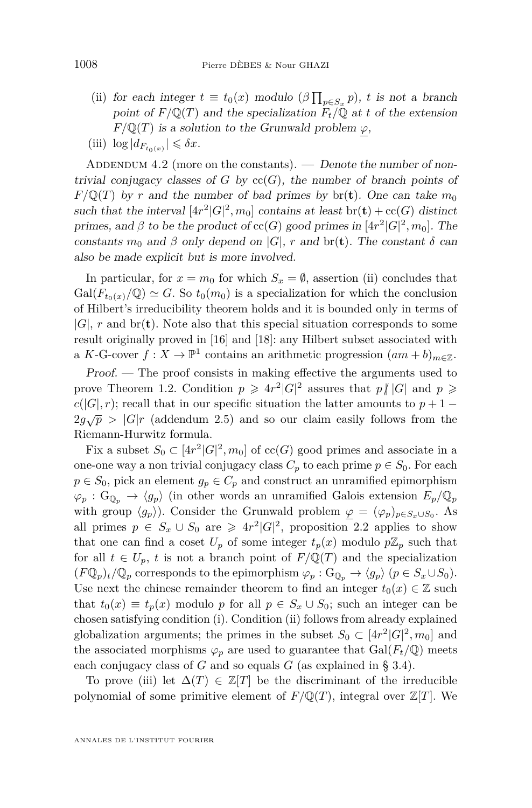- (ii) for each integer  $t \equiv t_0(x)$  modulo  $(\beta \prod_{p \in S_x} p)$ , *t* is not a branch point of  $F/\mathbb{Q}(T)$  and the specialization  $F_t/\mathbb{Q}$  at *t* of the extension  $F/\mathbb{Q}(T)$  is a solution to the Grunwald problem  $\varphi$ ,
- (iii)  $\log |d_{F_{t_0(x)}}| \leq \delta x$ .

ADDENDUM 4.2 (more on the constants). — Denote the number of nontrivial conjugacy classes of  $G$  by  $cc(G)$ , the number of branch points of  $F/\mathbb{Q}(T)$  by *r* and the number of bad primes by br(**t**). One can take  $m_0$ such that the interval  $[4r^2|G|^2, m_0]$  contains at least  $br(\mathbf{t}) + \text{cc}(G)$  distinct primes, and  $\beta$  to be the product of cc(*G*) good primes in  $[4r^2|G|^2, m_0]$ . The constants  $m_0$  and  $\beta$  only depend on  $|G|$ ,  $r$  and  $\text{br}(\mathbf{t})$ . The constant  $\delta$  can also be made explicit but is more involved.

In particular, for  $x = m_0$  for which  $S_x = \emptyset$ , assertion (ii) concludes that  $Gal(F_{t_0(x)}/\mathbb{Q}) \simeq G$ . So  $t_0(m_0)$  is a specialization for which the conclusion of Hilbert's irreducibility theorem holds and it is bounded only in terms of |*G*|, *r* and br(**t**). Note also that this special situation corresponds to some result originally proved in [\[16\]](#page-24-0) and [\[18\]](#page-24-0): any Hilbert subset associated with a *K*-G-cover  $f: X \to \mathbb{P}^1$  contains an arithmetic progression  $(am+b)_{m\in\mathbb{Z}}$ .

Proof. — The proof consists in making effective the arguments used to prove Theorem [1.2.](#page-2-0) Condition  $p \geqslant 4r^2|G|^2$  assures that  $p/|G|$  and  $p \geqslant$  $c(|G|, r)$ ; recall that in our specific situation the latter amounts to  $p + 1 2g\sqrt{p} > |G|r$  (addendum [2.5\)](#page-15-0) and so our claim easily follows from the Riemann-Hurwitz formula.

Fix a subset  $S_0 \subset [4r^2|G|^2, m_0]$  of  $cc(G)$  good primes and associate in a one-one way a non trivial conjugacy class  $C_p$  to each prime  $p \in S_0$ . For each  $p \in S_0$ , pick an element  $g_p \in C_p$  and construct an unramified epimorphism  $\varphi_p : G_{\mathbb{Q}_p} \to \langle g_p \rangle$  (in other words an unramified Galois extension  $E_p/\mathbb{Q}_p$ with group  $\langle g_p \rangle$ ). Consider the Grunwald problem  $\varphi = (\varphi_p)_{p \in S_x \cup S_0}$ . As all primes  $p \in S_x \cup S_0$  are  $\geq 4r^2|G|^2$ , proposition [2.2](#page-11-0) applies to show that one can find a coset  $U_p$  of some integer  $t_p(x)$  modulo  $p\mathbb{Z}_p$  such that for all  $t \in U_p$ ,  $t$  is not a branch point of  $F/\mathbb{Q}(T)$  and the specialization  $(F\mathbb{Q}_p)_t/\mathbb{Q}_p$  corresponds to the epimorphism  $\varphi_p : G_{\mathbb{Q}_p} \to \langle g_p \rangle$  ( $p \in S_x \cup S_0$ ). Use next the chinese remainder theorem to find an integer  $t_0(x) \in \mathbb{Z}$  such that  $t_0(x) \equiv t_p(x)$  modulo *p* for all  $p \in S_x \cup S_0$ ; such an integer can be chosen satisfying condition (i). Condition (ii) follows from already explained globalization arguments; the primes in the subset  $S_0 \subset [4r^2|G|^2, m_0]$  and the associated morphisms  $\varphi_p$  are used to guarantee that  $Gal(F_t/\mathbb{Q})$  meets each conjugacy class of *G* and so equals *G* (as explained in § [3.4\)](#page-18-0).

To prove (iii) let  $\Delta(T) \in \mathbb{Z}[T]$  be the discriminant of the irreducible polynomial of some primitive element of  $F/\mathbb{Q}(T)$ , integral over  $\mathbb{Z}[T]$ . We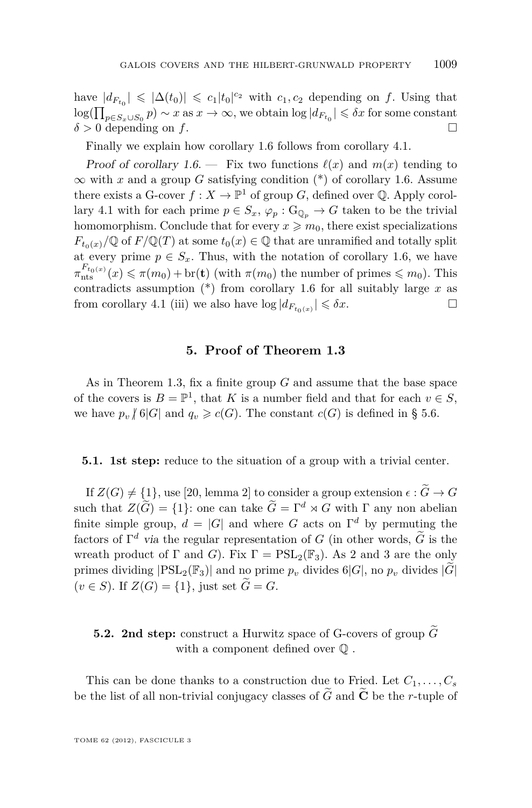<span id="page-21-0"></span>have  $|d_{F_{t_0}}| \leqslant |\Delta(t_0)| \leqslant c_1|t_0|^{c_2}$  with  $c_1, c_2$  depending on  $f$ . Using that  $log(\prod_{p \in S_x \cup S_0} p) \sim x$  as  $x \to \infty$ , we obtain  $log |d_{F_{t_0}}| \leq \delta x$  for some constant  $\delta > 0$  depending on *f*.

Finally we explain how corollary [1.6](#page-5-0) follows from corollary [4.1.](#page-19-0)

Proof of corollary [1.6.](#page-5-0) — Fix two functions  $\ell(x)$  and  $m(x)$  tending to  $\infty$  with *x* and a group *G* satisfying condition (\*) of corollary [1.6.](#page-5-0) Assume there exists a G-cover  $f: X \to \mathbb{P}^1$  of group *G*, defined over Q. Apply corol-lary [4.1](#page-19-0) with for each prime  $p \in S_x$ ,  $\varphi_p : G_{\mathbb{Q}_p} \to G$  taken to be the trivial homomorphism. Conclude that for every  $x \geq m_0$ , there exist specializations  $F_{t_0(x)}/\mathbb{Q}$  of  $F/\mathbb{Q}(T)$  at some  $t_0(x) \in \mathbb{Q}$  that are unramified and totally split at every prime  $p \in S_x$ . Thus, with the notation of corollary [1.6,](#page-5-0) we have  $\pi_{\text{nts}}^{F_{t_0(x)}}(x) \leq \pi(m_0) + \text{br}(\mathbf{t})$  (with  $\pi(m_0)$ ) the number of primes  $\leqslant m_0$ ). This contradicts assumption (\*) from corollary [1.6](#page-5-0) for all suitably large *x* as from corollary [4.1](#page-19-0) (iii) we also have  $\log |d_{F_{t_0(x)}}| \leq \delta x$ .

#### **5. Proof of Theorem [1.3](#page-3-0)**

As in Theorem [1.3,](#page-3-0) fix a finite group *G* and assume that the base space of the covers is  $B = \mathbb{P}^1$ , that *K* is a number field and that for each  $v \in S$ , we have  $p_v \nmid 6|G|$  and  $q_v \geq c(G)$ . The constant  $c(G)$  is defined in § [5.6.](#page-23-0)

#### **5.1. 1st step:** reduce to the situation of a group with a trivial center.

If  $Z(G) \neq \{1\}$ , use [\[20,](#page-24-0) lemma 2] to consider a group extension  $\epsilon : \widetilde{G} \to G$ such that  $Z(\widetilde{G}) = \{1\}$ : one can take  $\widetilde{G} = \Gamma^d \rtimes G$  with  $\Gamma$  any non abelian finite simple group,  $d = |G|$  and where *G* acts on  $\Gamma^d$  by permuting the factors of  $\Gamma^d$  via the regular representation of *G* (in other words,  $\tilde{G}$  is the wreath product of  $\Gamma$  and *G*). Fix  $\Gamma = \text{PSL}_2(\mathbb{F}_3)$ . As 2 and 3 are the only primes dividing  $|PSL_2(\mathbb{F}_3)|$  and no prime  $p_v$  divides  $6|G|$ , no  $p_v$  divides  $|\widetilde{G}|$  $(v \in S)$ . If  $Z(G) = \{1\}$ , just set  $\widetilde{G} = G$ .

#### **5.2. 2nd step:** construct a Hurwitz space of G-covers of group  $\widetilde{G}$ with a component defined over  $\mathbb Q$  .

This can be done thanks to a construction due to Fried. Let  $C_1, \ldots, C_s$ be the list of all non-trivial conjugacy classes of  $\tilde{G}$  and  $\tilde{C}$  be the *r*-tuple of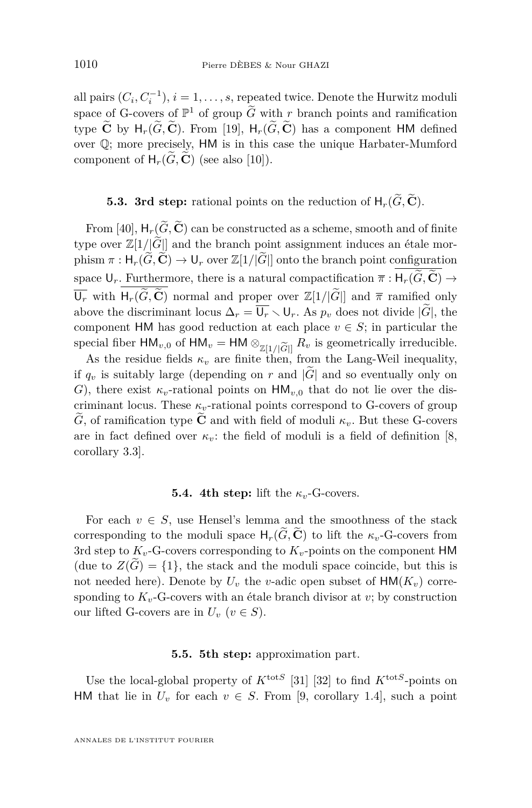<span id="page-22-0"></span>all pairs  $(C_i, C_i^{-1}), i = 1, \ldots, s$ , repeated twice. Denote the Hurwitz moduli space of G-covers of  $\mathbb{P}^1$  of group  $\widetilde{G}$  with *r* branch points and ramification type  $\widetilde{C}$  by  $H_r(\widetilde{G}, \widetilde{C})$ . From [\[19\]](#page-24-0),  $H_r(\widetilde{G}, \widetilde{C})$  has a component HM defined over Q; more precisely, HM is in this case the unique Harbater-Mumford component of  $H_r(\tilde{G}, \tilde{C})$  (see also [\[10\]](#page-24-0)).

#### **5.3. 3rd step:** rational points on the reduction of  $H_r(\widetilde{G}, \widetilde{C})$ .

From [\[40\]](#page-25-0),  $H_r(\widetilde{G}, \widetilde{C})$  can be constructed as a scheme, smooth and of finite type over  $\mathbb{Z}[1/|\tilde{G}|]$  and the branch point assignment induces an étale morphism  $\pi : H_r(\widetilde{G}, \widetilde{C}) \to \mathsf{U}_r$  over  $\mathbb{Z}[1/|\widetilde{G}|]$  onto the branch point configuration space  $\mathsf{U}_r$ . Furthermore, there is a natural compactification  $\overline{\pi} : \mathsf{H}_r(\widetilde{G}, \widetilde{\mathbf{C}}) \to$  $\overline{U_r}$  with  $H_r(\widetilde{G}, \widetilde{C})$  normal and proper over  $\mathbb{Z}[1/|\widetilde{G}|]$  and  $\overline{\pi}$  ramified only above the discriminant locus  $\Delta_r = \overline{U_r} \setminus U_r$ . As  $p_v$  does not divide  $|\widetilde{G}|$ , the component HM has good reduction at each place  $v \in S$ ; in particular the special fiber  $HM_{v,0}$  of  $HM_v = HM \otimes_{\mathbb{Z}[1/|\widetilde{G}|]} R_v$  is geometrically irreducible.<br>As the residue fields  $\kappa_v$  are finite then, from the Lang-Weil inequality.

As the residue fields  $\kappa_v$  are finite then, from the Lang-Weil inequality, if  $q_v$  is suitably large (depending on r and  $|\tilde{G}|$  and so eventually only on *G*), there exist  $\kappa_v$ -rational points on  $HM_{v,0}$  that do not lie over the discriminant locus. These  $\kappa_v$ -rational points correspond to G-covers of group  $\tilde{G}$ , of ramification type  $\tilde{C}$  and with field of moduli  $\kappa_v$ . But these G-covers are in fact defined over  $\kappa_v$ : the field of moduli is a field of definition [\[8,](#page-23-0) corollary 3.3].

#### **5.4. 4th step:** lift the  $\kappa_v$ -G-covers.

For each  $v \in S$ , use Hensel's lemma and the smoothness of the stack corresponding to the moduli space  $H_r(\tilde{G}, \tilde{C})$  to lift the  $\kappa_v$ -G-covers from 3rd step to  $K_v$ -G-covers corresponding to  $K_v$ -points on the component HM (due to  $Z(G) = \{1\}$ , the stack and the moduli space coincide, but this is not needed here). Denote by  $U_v$  the *v*-adic open subset of  $HM(K_v)$  corresponding to  $K_v$ -G-covers with an étale branch divisor at *v*; by construction our lifted G-covers are in  $U_v$  ( $v \in S$ ).

#### **5.5. 5th step:** approximation part.

Use the local-global property of  $K^{\text{tot}S}$  [\[31\]](#page-24-0) [\[32\]](#page-24-0) to find  $K^{\text{tot}S}$ -points on HM that lie in  $U_v$  for each  $v \in S$ . From [\[9,](#page-23-0) corollary 1.4], such a point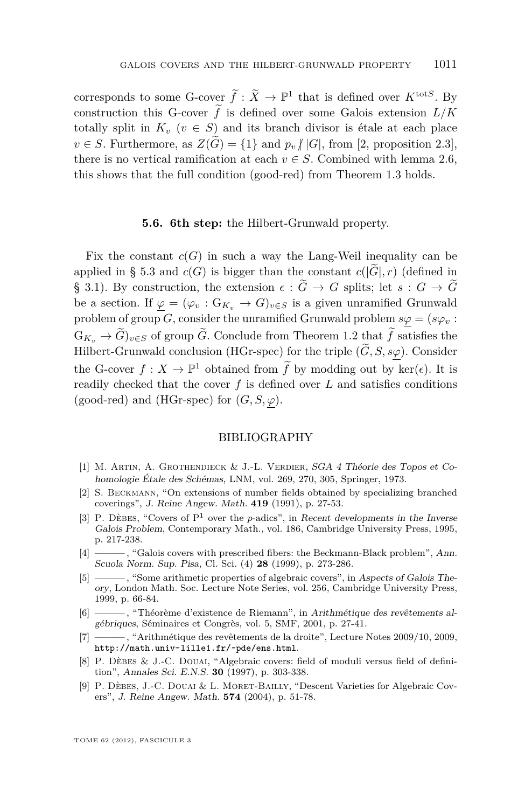<span id="page-23-0"></span>corresponds to some G-cover  $\tilde{f}: \tilde{X} \to \mathbb{P}^1$  that is defined over  $K^{\text{tot}S}$ . By construction this G-cover  $\tilde{f}$  is defined over some Galois extension  $L/K$ totally split in  $K_v$  ( $v \in S$ ) and its branch divisor is étale at each place  $v \in S$ . Furthermore, as  $Z(\widetilde{G}) = \{1\}$  and  $p_v / |G|$ , from [2, proposition 2.3], there is no vertical ramification at each  $v \in S$ . Combined with lemma [2.6,](#page-15-0) this shows that the full condition (good-red) from Theorem [1.3](#page-3-0) holds.

#### **5.6. 6th step:** the Hilbert-Grunwald property.

Fix the constant  $c(G)$  in such a way the Lang-Weil inequality can be applied in § [5.3](#page-22-0) and  $c(G)$  is bigger than the constant  $c(|\tilde{G}|, r)$  (defined in § [3.1\)](#page-16-0). By construction, the extension  $\epsilon : \tilde{G} \to G$  splits; let  $s : G \to \tilde{G}$ be a section. If  $\varphi = (\varphi_v : G_{K_v} \to G)_{v \in S}$  is a given unramified Grunwald problem of group *G*, consider the unramified Grunwald problem  $s\varphi = (s\varphi_v :$  $G_{K_v} \to \widetilde{G}_{v \in S}$  of group  $\widetilde{G}$ . Conclude from Theorem [1.2](#page-2-0) that  $\widetilde{f}$  satisfies the Hilbert-Grunwald conclusion (HGr-spec) for the triple  $(\widetilde{G}, S, s\varphi)$ . Consider the G-cover  $f: X \to \mathbb{P}^1$  obtained from  $\widetilde{f}$  by modding out by ker( $\epsilon$ ). It is readily checked that the cover *f* is defined over *L* and satisfies conditions (good-red) and (HGr-spec) for  $(G, S, \varphi)$ .

#### BIBLIOGRAPHY

- [1] M. ARTIN, A. GROTHENDIECK & J.-L. VERDIER, SGA 4 Théorie des Topos et Cohomologie Étale des Schémas, LNM, vol. 269, 270, 305, Springer, 1973.
- [2] S. Beckmann, "On extensions of number fields obtained by specializing branched coverings", J. Reine Angew. Math. **419** (1991), p. 27-53.
- [3] P. Dèbes, "Covers of  $P^1$  over the *p*-adics", in Recent developments in the Inverse Galois Problem, Contemporary Math., vol. 186, Cambridge University Press, 1995, p. 217-238.
- [4] ———, "Galois covers with prescribed fibers: the Beckmann-Black problem", Ann. Scuola Norm. Sup. Pisa, Cl. Sci. (4) **28** (1999), p. 273-286.
- [5] ——— , "Some arithmetic properties of algebraic covers", in Aspects of Galois Theory, London Math. Soc. Lecture Note Series, vol. 256, Cambridge University Press, 1999, p. 66-84.
- [6] ——— , "Théorème d'existence de Riemann", in Arithmétique des revêtements algébriques, Séminaires et Congrès, vol. 5, SMF, 2001, p. 27-41.
- [7] ——— , "Arithmétique des revêtements de la droite", Lecture Notes 2009/10, 2009, <http://math.univ-lille1.fr/~pde/ens.html>.
- [8] P. Dèbes & J.-C. DOUAI, "Algebraic covers: field of moduli versus field of definition", Annales Sci. E.N.S. **30** (1997), p. 303-338.
- [9] P. Dèbes, J.-C. Douai & L. Moret-Bailly, "Descent Varieties for Algebraic Covers", J. Reine Angew. Math. **574** (2004), p. 51-78.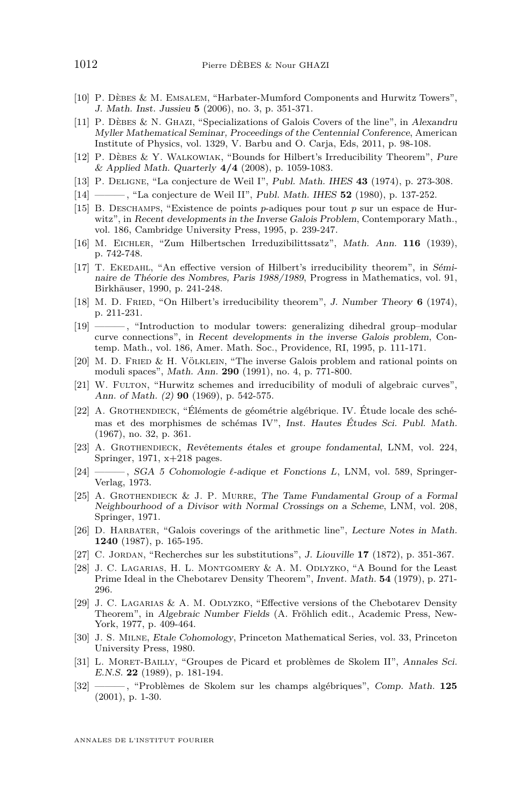- <span id="page-24-0"></span>[10] P. Dèbes & M. Emsalem, "Harbater-Mumford Components and Hurwitz Towers", J. Math. Inst. Jussieu **5** (2006), no. 3, p. 351-371.
- [11] P. Dèbes & N. Ghazi, "Specializations of Galois Covers of the line", in Alexandru Myller Mathematical Seminar, Proceedings of the Centennial Conference, American Institute of Physics, vol. 1329, V. Barbu and O. Carja, Eds, 2011, p. 98-108.
- [12] P. Dèbes & Y. Walkowiak, "Bounds for Hilbert's Irreducibility Theorem", Pure & Applied Math. Quarterly **4/4** (2008), p. 1059-1083.
- [13] P. Deligne, "La conjecture de Weil I", Publ. Math. IHES **43** (1974), p. 273-308.
- [14] ——— , "La conjecture de Weil II", Publ. Math. IHES **52** (1980), p. 137-252.
- [15] B. Deschamps, "Existence de points *p*-adiques pour tout *p* sur un espace de Hurwitz", in Recent developments in the Inverse Galois Problem, Contemporary Math., vol. 186, Cambridge University Press, 1995, p. 239-247.
- [16] M. Eichler, "Zum Hilbertschen Irreduzibilittssatz", Math. Ann. **116** (1939), p. 742-748.
- [17] T. Ekedahl, "An effective version of Hilbert's irreducibility theorem", in Séminaire de Théorie des Nombres, Paris 1988/1989, Progress in Mathematics, vol. 91, Birkhäuser, 1990, p. 241-248.
- [18] M. D. Fried, "On Hilbert's irreducibility theorem", J. Number Theory **6** (1974), p. 211-231.
- [19] ——— , "Introduction to modular towers: generalizing dihedral group–modular curve connections", in Recent developments in the inverse Galois problem, Contemp. Math., vol. 186, Amer. Math. Soc., Providence, RI, 1995, p. 111-171.
- [20] M. D. FRIED & H. VÖLKLEIN, "The inverse Galois problem and rational points on moduli spaces", Math. Ann. **290** (1991), no. 4, p. 771-800.
- [21] W. FULTON, "Hurwitz schemes and irreducibility of moduli of algebraic curves", Ann. of Math. (2) **90** (1969), p. 542-575.
- [22] A. Grothendieck, "Éléments de géométrie algébrique. IV. Étude locale des schémas et des morphismes de schémas IV", Inst. Hautes Études Sci. Publ. Math. (1967), no. 32, p. 361.
- [23] A. Grothendieck, Revêtements étales et groupe fondamental, LNM, vol. 224, Springer,  $1971$ ,  $x+218$  pages.
- [24] ——— , SGA 5 Cohomologie  $\ell$ -adique et Fonctions L, LNM, vol. 589, Springer-Verlag, 1973.
- [25] A. Grothendieck & J. P. Murre, The Tame Fundamental Group of a Formal Neighbourhood of a Divisor with Normal Crossings on a Scheme, LNM, vol. 208, Springer, 1971.
- [26] D. HARBATER, "Galois coverings of the arithmetic line", Lecture Notes in Math. **1240** (1987), p. 165-195.
- [27] C. Jordan, "Recherches sur les substitutions", J. Liouville **17** (1872), p. 351-367.
- [28] J. C. Lagarias, H. L. Montgomery & A. M. Odlyzko, "A Bound for the Least Prime Ideal in the Chebotarev Density Theorem", Invent. Math. **54** (1979), p. 271- 296.
- [29] J. C. Lagarias & A. M. Odlyzko, "Effective versions of the Chebotarev Density Theorem", in Algebraic Number Fields (A. Fröhlich edit., Academic Press, New-York, 1977, p. 409-464.
- [30] J. S. Milne, Etale Cohomology, Princeton Mathematical Series, vol. 33, Princeton University Press, 1980.
- [31] L. Moret-Bailly, "Groupes de Picard et problèmes de Skolem II", Annales Sci. E.N.S. **22** (1989), p. 181-194.
- [32] ——— , "Problèmes de Skolem sur les champs algébriques", Comp. Math. **125** (2001), p. 1-30.